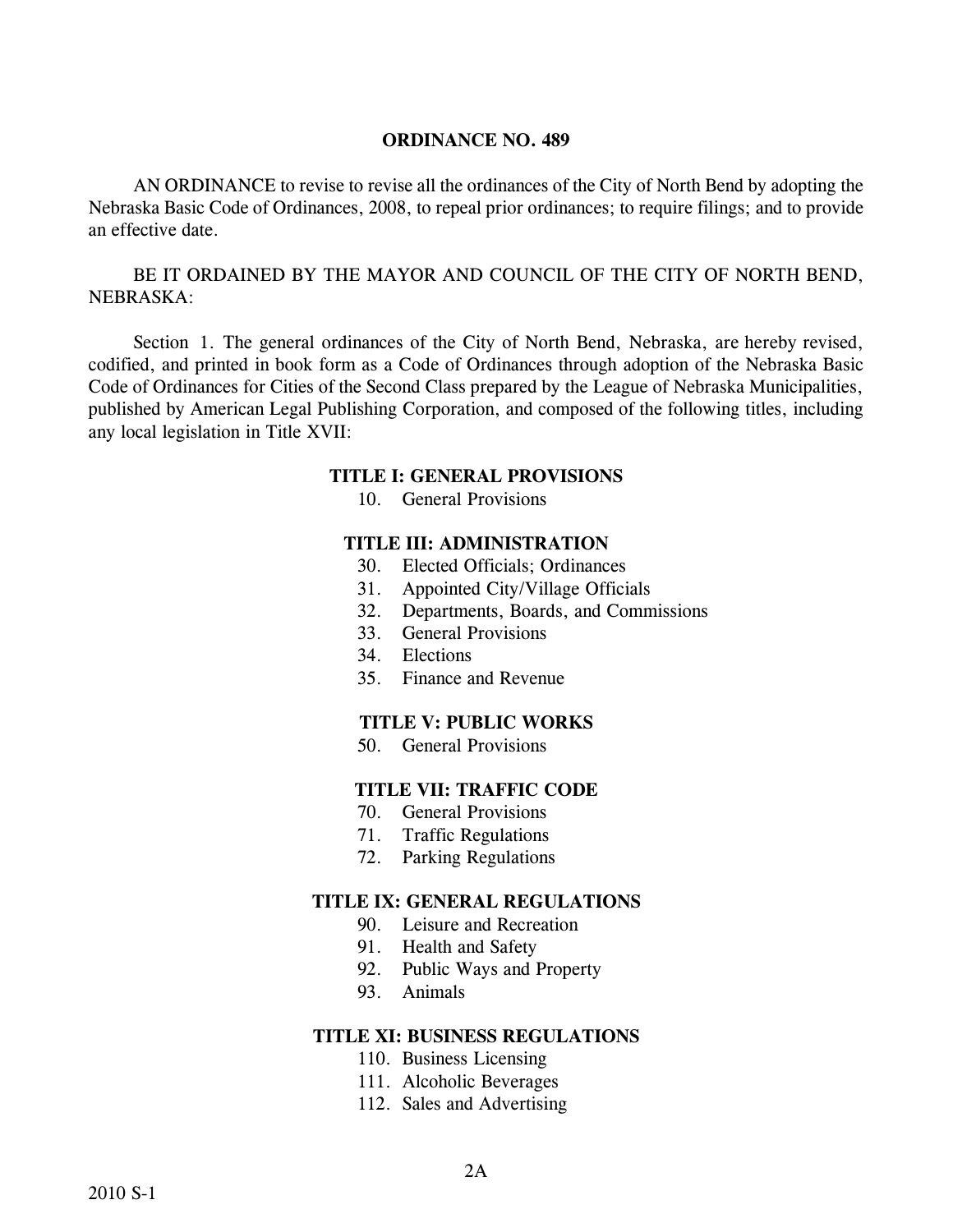AN ORDINANCE to revise to revise all the ordinances of the City of North Bend by adopting the Nebraska Basic Code of Ordinances, 2008, to repeal prior ordinances; to require filings; and to provide an effective date.

BE IT ORDAINED BY THE MAYOR AND COUNCIL OF THE CITY OF NORTH BEND, NEBRASKA:

Section 1. The general ordinances of the City of North Bend, Nebraska, are hereby revised, codified, and printed in book form as a Code of Ordinances through adoption of the Nebraska Basic Code of Ordinances for Cities of the Second Class prepared by the League of Nebraska Municipalities, published by American Legal Publishing Corporation, and composed of the following titles, including any local legislation in Title XVII:

#### **TITLE I: GENERAL PROVISIONS**

10. General Provisions

#### **TITLE III: ADMINISTRATION**

- 30. Elected Officials; Ordinances
- 31. Appointed City/Village Officials
- 32. Departments, Boards, and Commissions
- 33. General Provisions
- 34. Elections
- 35. Finance and Revenue

#### **TITLE V: PUBLIC WORKS**

50. General Provisions

### **TITLE VII: TRAFFIC CODE**

- 70. General Provisions
- 71. Traffic Regulations
- 72. Parking Regulations

#### **TITLE IX: GENERAL REGULATIONS**

- 90. Leisure and Recreation
- 91. Health and Safety
- 92. Public Ways and Property
- 93. Animals

#### **TITLE XI: BUSINESS REGULATIONS**

- 110. Business Licensing
- 111. Alcoholic Beverages
- 112. Sales and Advertising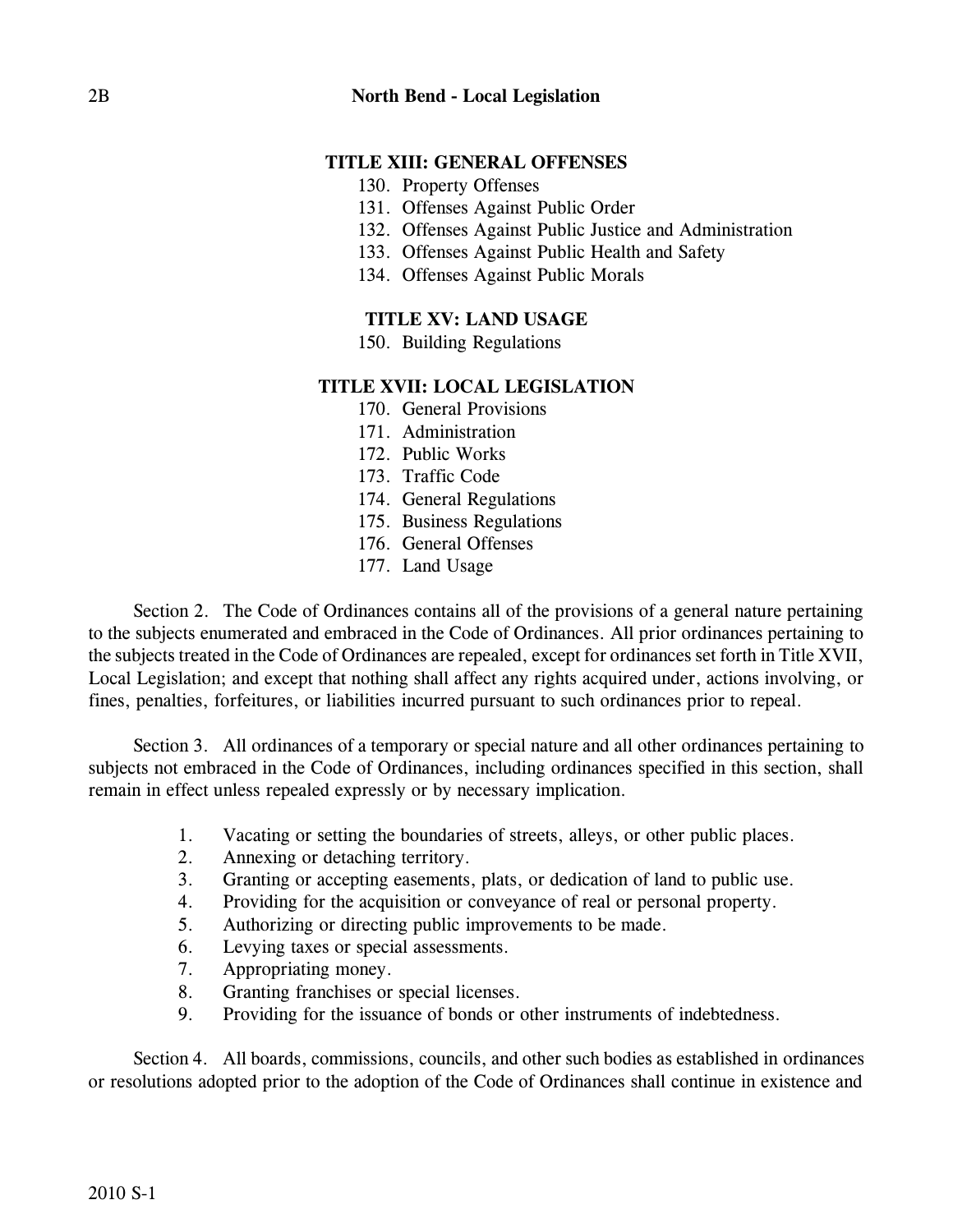# **TITLE XIII: GENERAL OFFENSES**

- 130. Property Offenses
- 131. Offenses Against Public Order
- 132. Offenses Against Public Justice and Administration
- 133. Offenses Against Public Health and Safety
- 134. Offenses Against Public Morals

## **TITLE XV: LAND USAGE**

150. Building Regulations

#### **TITLE XVII: LOCAL LEGISLATION**

- 170. General Provisions
- 171. Administration
- 172. Public Works
- 173. Traffic Code
- 174. General Regulations
- 175. Business Regulations
- 176. General Offenses
- 177. Land Usage

Section 2. The Code of Ordinances contains all of the provisions of a general nature pertaining to the subjects enumerated and embraced in the Code of Ordinances. All prior ordinances pertaining to the subjects treated in the Code of Ordinances are repealed, except for ordinances set forth in Title XVII, Local Legislation; and except that nothing shall affect any rights acquired under, actions involving, or fines, penalties, forfeitures, or liabilities incurred pursuant to such ordinances prior to repeal.

Section 3. All ordinances of a temporary or special nature and all other ordinances pertaining to subjects not embraced in the Code of Ordinances, including ordinances specified in this section, shall remain in effect unless repealed expressly or by necessary implication.

- 1. Vacating or setting the boundaries of streets, alleys, or other public places.
- 2. Annexing or detaching territory.
- 3. Granting or accepting easements, plats, or dedication of land to public use.
- 4. Providing for the acquisition or conveyance of real or personal property.
- 5. Authorizing or directing public improvements to be made.
- 6. Levying taxes or special assessments.
- 7. Appropriating money.
- 8. Granting franchises or special licenses.
- 9. Providing for the issuance of bonds or other instruments of indebtedness.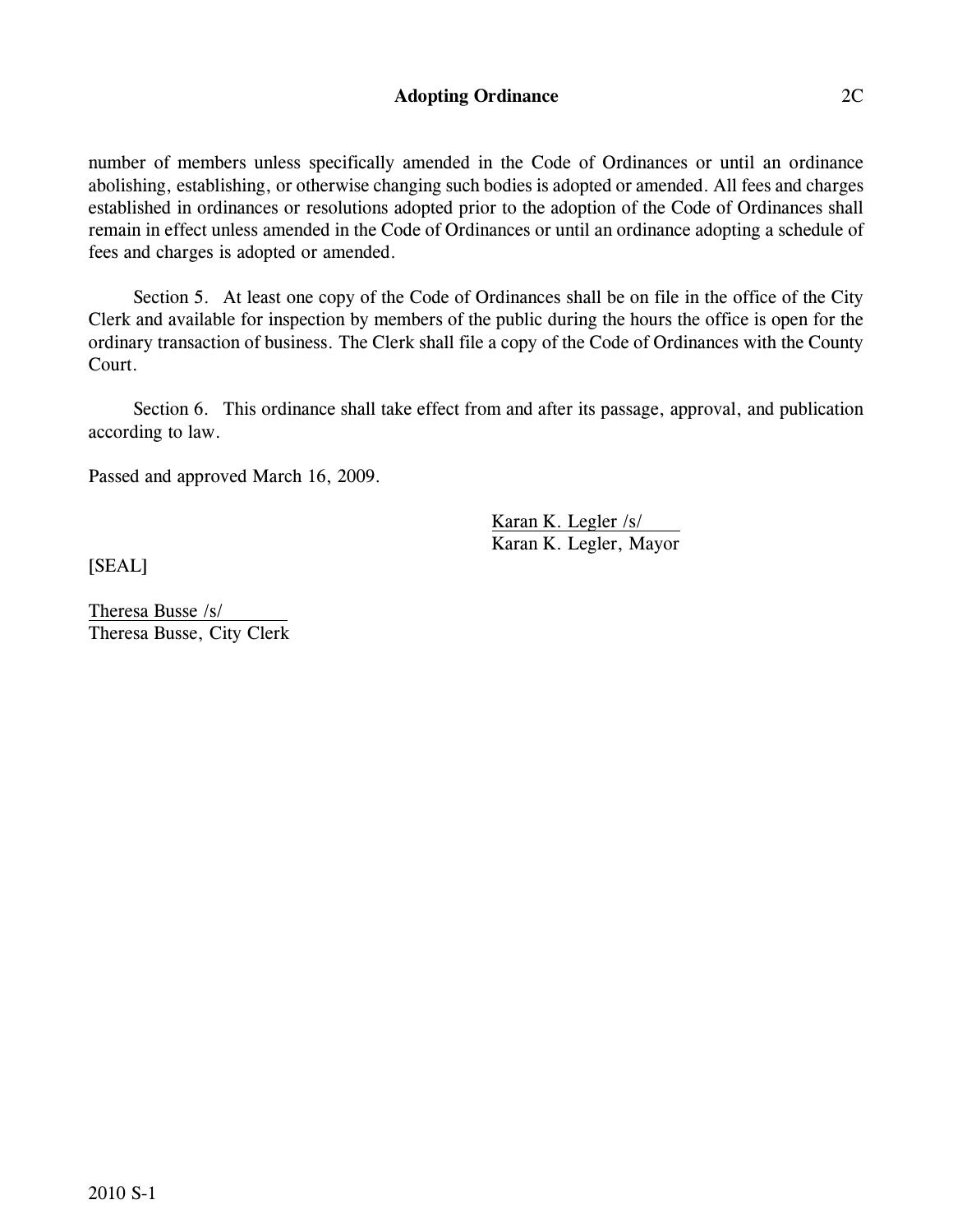### **Adopting Ordinance** 2C

number of members unless specifically amended in the Code of Ordinances or until an ordinance abolishing, establishing, or otherwise changing such bodies is adopted or amended. All fees and charges established in ordinances or resolutions adopted prior to the adoption of the Code of Ordinances shall remain in effect unless amended in the Code of Ordinances or until an ordinance adopting a schedule of fees and charges is adopted or amended.

Section 5. At least one copy of the Code of Ordinances shall be on file in the office of the City Clerk and available for inspection by members of the public during the hours the office is open for the ordinary transaction of business. The Clerk shall file a copy of the Code of Ordinances with the County Court.

Section 6. This ordinance shall take effect from and after its passage, approval, and publication according to law.

Passed and approved March 16, 2009.

Karan K. Legler /s/ Karan K. Legler, Mayor

[SEAL]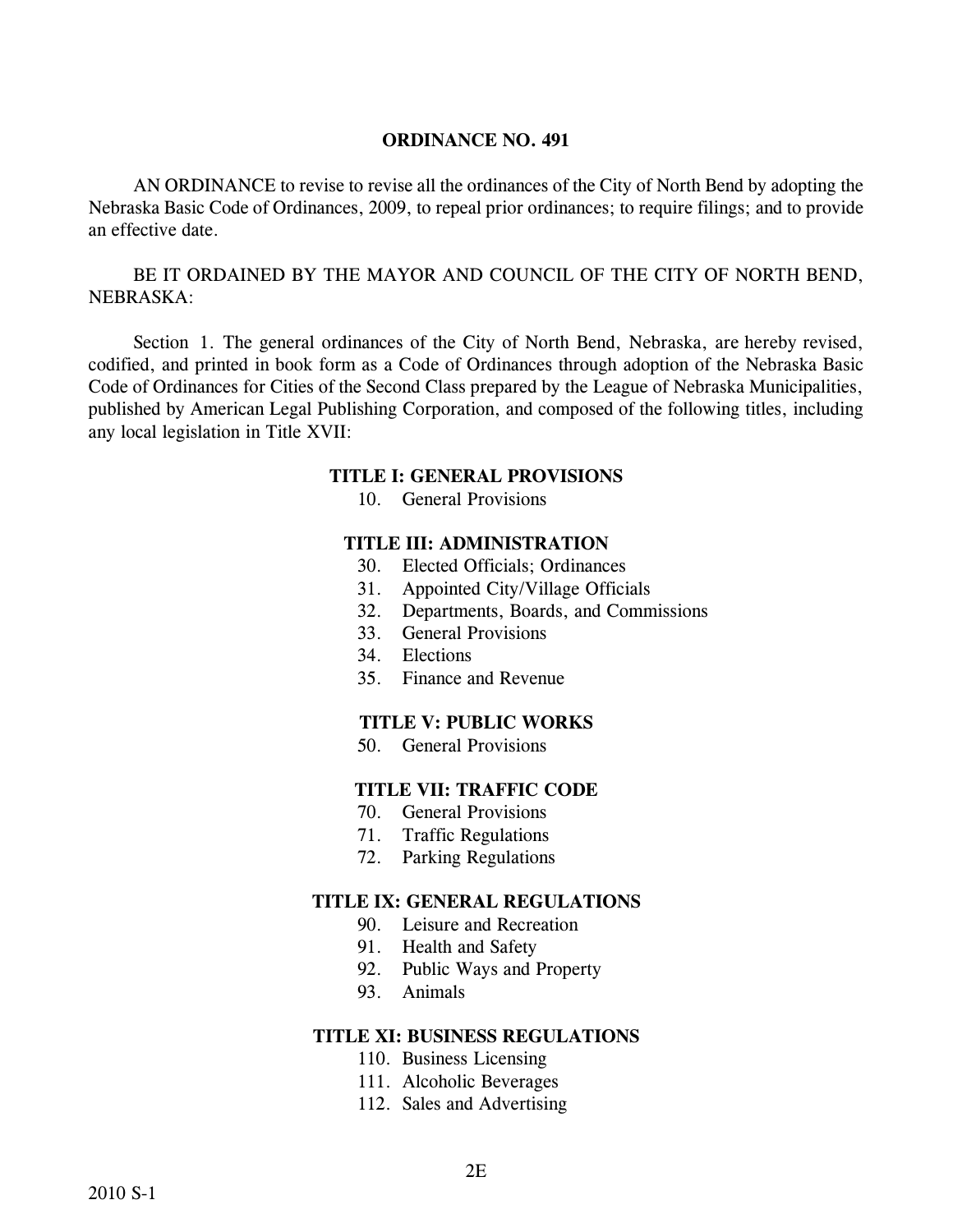AN ORDINANCE to revise to revise all the ordinances of the City of North Bend by adopting the Nebraska Basic Code of Ordinances, 2009, to repeal prior ordinances; to require filings; and to provide an effective date.

BE IT ORDAINED BY THE MAYOR AND COUNCIL OF THE CITY OF NORTH BEND, NEBRASKA:

Section 1. The general ordinances of the City of North Bend, Nebraska, are hereby revised, codified, and printed in book form as a Code of Ordinances through adoption of the Nebraska Basic Code of Ordinances for Cities of the Second Class prepared by the League of Nebraska Municipalities, published by American Legal Publishing Corporation, and composed of the following titles, including any local legislation in Title XVII:

#### **TITLE I: GENERAL PROVISIONS**

10. General Provisions

#### **TITLE III: ADMINISTRATION**

- 30. Elected Officials; Ordinances
- 31. Appointed City/Village Officials
- 32. Departments, Boards, and Commissions
- 33. General Provisions
- 34. Elections
- 35. Finance and Revenue

#### **TITLE V: PUBLIC WORKS**

50. General Provisions

### **TITLE VII: TRAFFIC CODE**

- 70. General Provisions
- 71. Traffic Regulations
- 72. Parking Regulations

#### **TITLE IX: GENERAL REGULATIONS**

- 90. Leisure and Recreation
- 91. Health and Safety
- 92. Public Ways and Property
- 93. Animals

#### **TITLE XI: BUSINESS REGULATIONS**

- 110. Business Licensing
- 111. Alcoholic Beverages
- 112. Sales and Advertising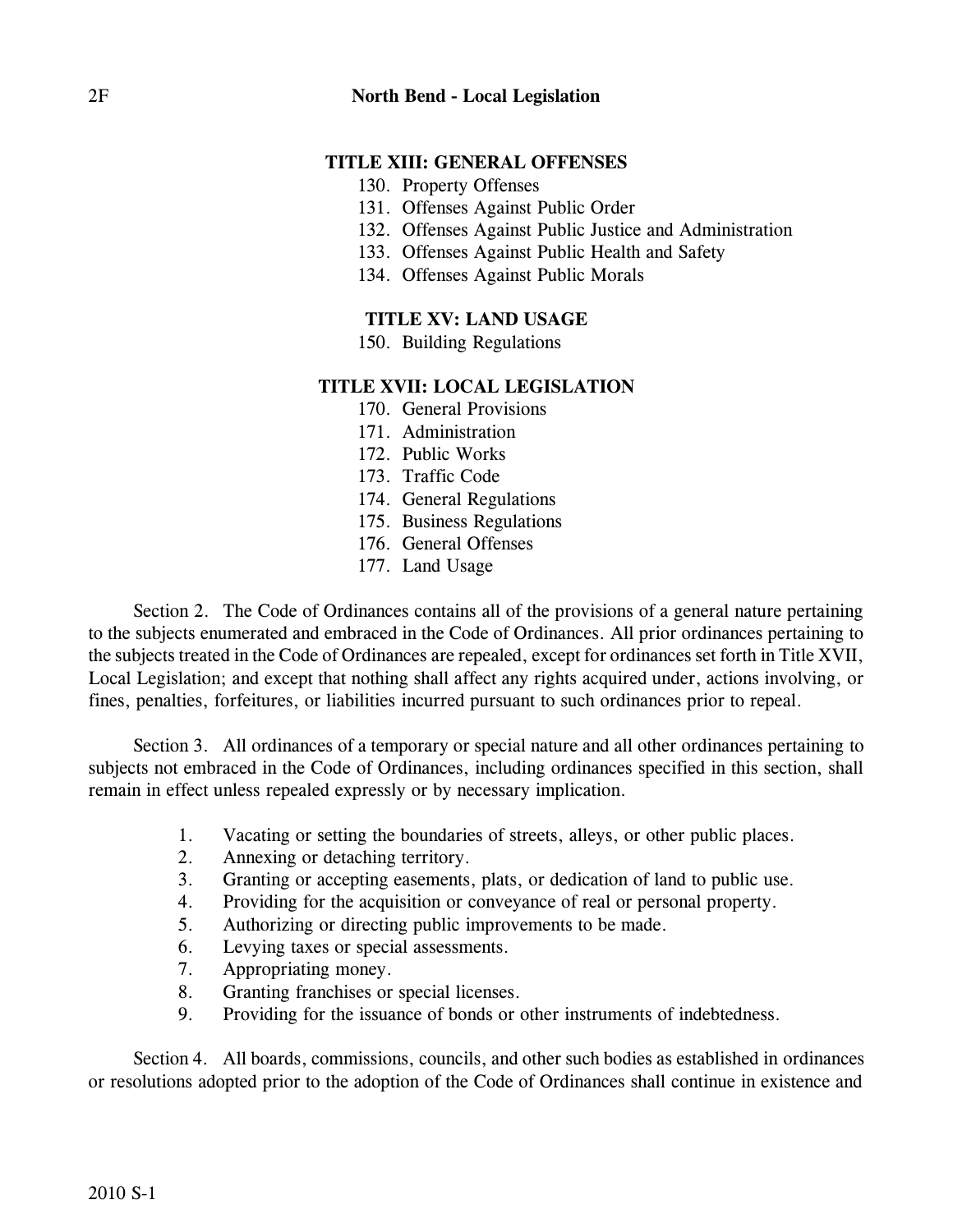## **TITLE XIII: GENERAL OFFENSES**

- 130. Property Offenses
- 131. Offenses Against Public Order
- 132. Offenses Against Public Justice and Administration
- 133. Offenses Against Public Health and Safety
- 134. Offenses Against Public Morals

### **TITLE XV: LAND USAGE**

150. Building Regulations

#### **TITLE XVII: LOCAL LEGISLATION**

- 170. General Provisions
- 171. Administration
- 172. Public Works
- 173. Traffic Code
- 174. General Regulations
- 175. Business Regulations
- 176. General Offenses
- 177. Land Usage

Section 2. The Code of Ordinances contains all of the provisions of a general nature pertaining to the subjects enumerated and embraced in the Code of Ordinances. All prior ordinances pertaining to the subjects treated in the Code of Ordinances are repealed, except for ordinances set forth in Title XVII, Local Legislation; and except that nothing shall affect any rights acquired under, actions involving, or fines, penalties, forfeitures, or liabilities incurred pursuant to such ordinances prior to repeal.

Section 3. All ordinances of a temporary or special nature and all other ordinances pertaining to subjects not embraced in the Code of Ordinances, including ordinances specified in this section, shall remain in effect unless repealed expressly or by necessary implication.

- 1. Vacating or setting the boundaries of streets, alleys, or other public places.
- 2. Annexing or detaching territory.
- 3. Granting or accepting easements, plats, or dedication of land to public use.
- 4. Providing for the acquisition or conveyance of real or personal property.
- 5. Authorizing or directing public improvements to be made.
- 6. Levying taxes or special assessments.
- 7. Appropriating money.
- 8. Granting franchises or special licenses.
- 9. Providing for the issuance of bonds or other instruments of indebtedness.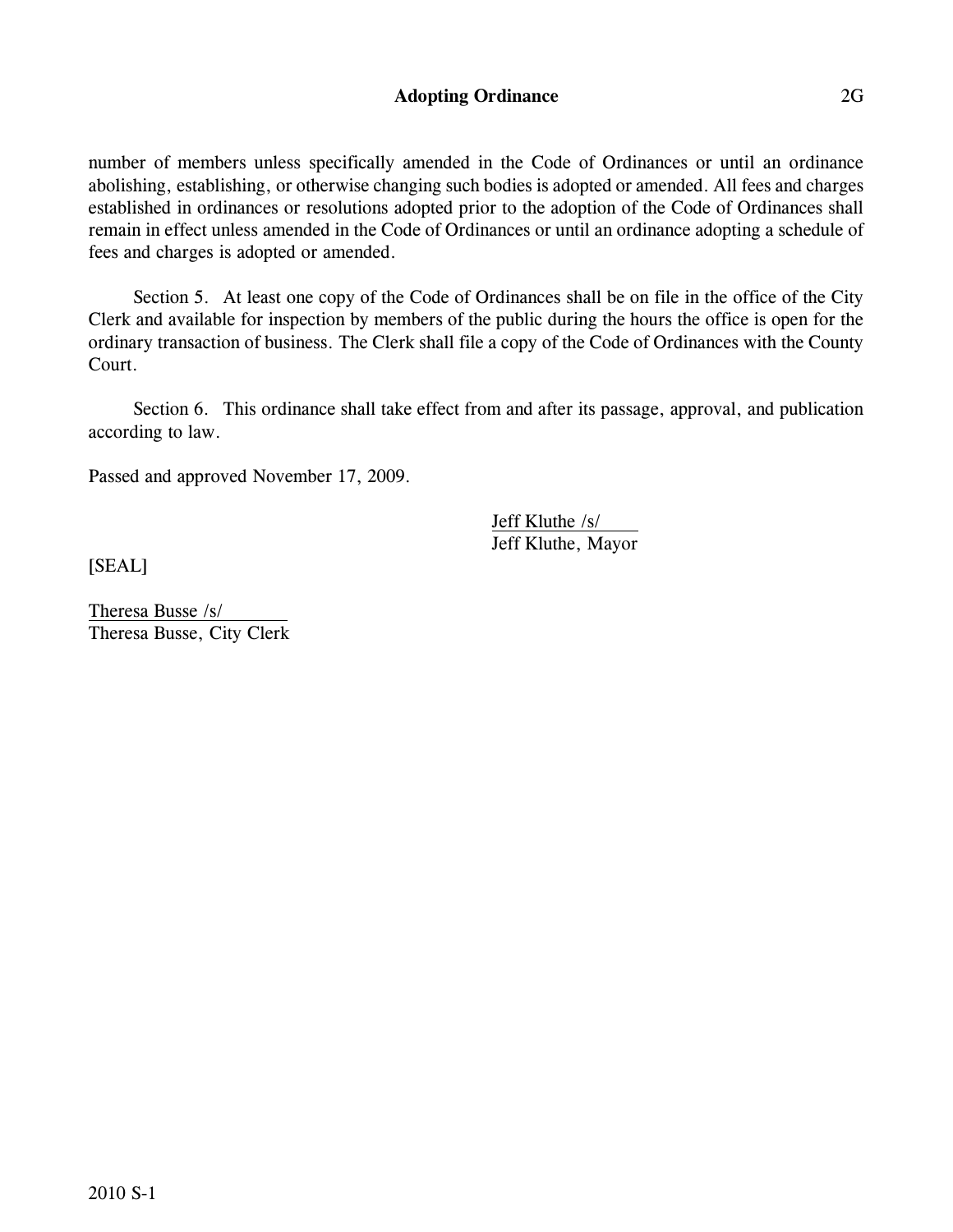### **Adopting Ordinance** 2G

number of members unless specifically amended in the Code of Ordinances or until an ordinance abolishing, establishing, or otherwise changing such bodies is adopted or amended. All fees and charges established in ordinances or resolutions adopted prior to the adoption of the Code of Ordinances shall remain in effect unless amended in the Code of Ordinances or until an ordinance adopting a schedule of fees and charges is adopted or amended.

Section 5. At least one copy of the Code of Ordinances shall be on file in the office of the City Clerk and available for inspection by members of the public during the hours the office is open for the ordinary transaction of business. The Clerk shall file a copy of the Code of Ordinances with the County Court.

Section 6. This ordinance shall take effect from and after its passage, approval, and publication according to law.

Passed and approved November 17, 2009.

Jeff Kluthe /s/ Jeff Kluthe, Mayor

[SEAL]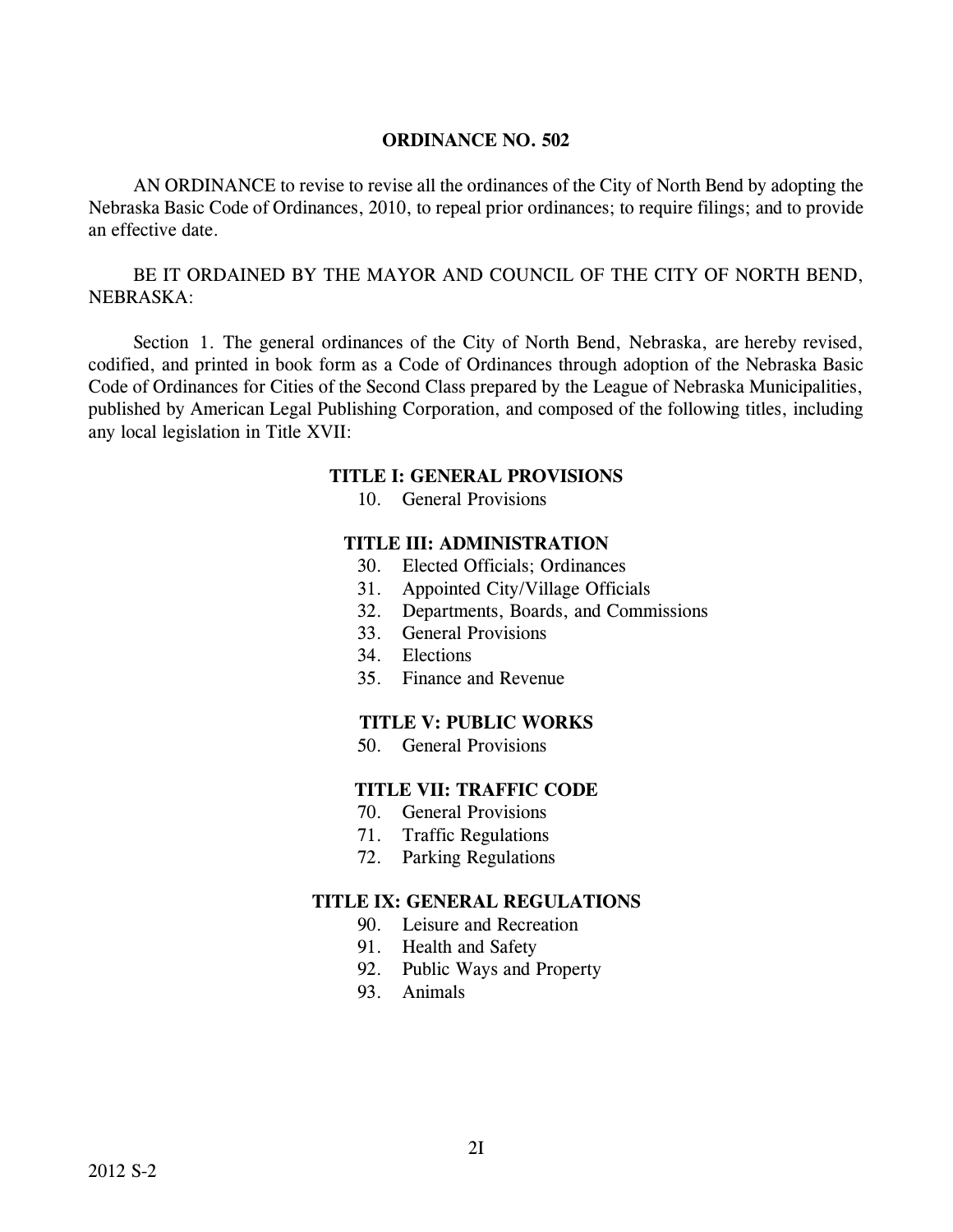AN ORDINANCE to revise to revise all the ordinances of the City of North Bend by adopting the Nebraska Basic Code of Ordinances, 2010, to repeal prior ordinances; to require filings; and to provide an effective date.

BE IT ORDAINED BY THE MAYOR AND COUNCIL OF THE CITY OF NORTH BEND, NEBRASKA:

Section 1. The general ordinances of the City of North Bend, Nebraska, are hereby revised, codified, and printed in book form as a Code of Ordinances through adoption of the Nebraska Basic Code of Ordinances for Cities of the Second Class prepared by the League of Nebraska Municipalities, published by American Legal Publishing Corporation, and composed of the following titles, including any local legislation in Title XVII:

#### **TITLE I: GENERAL PROVISIONS**

10. General Provisions

#### **TITLE III: ADMINISTRATION**

- 30. Elected Officials; Ordinances
- 31. Appointed City/Village Officials
- 32. Departments, Boards, and Commissions
- 33. General Provisions
- 34. Elections
- 35. Finance and Revenue

#### **TITLE V: PUBLIC WORKS**

50. General Provisions

### **TITLE VII: TRAFFIC CODE**

- 70. General Provisions
- 71. Traffic Regulations
- 72. Parking Regulations

- 90. Leisure and Recreation
- 91. Health and Safety
- 92. Public Ways and Property
- 93. Animals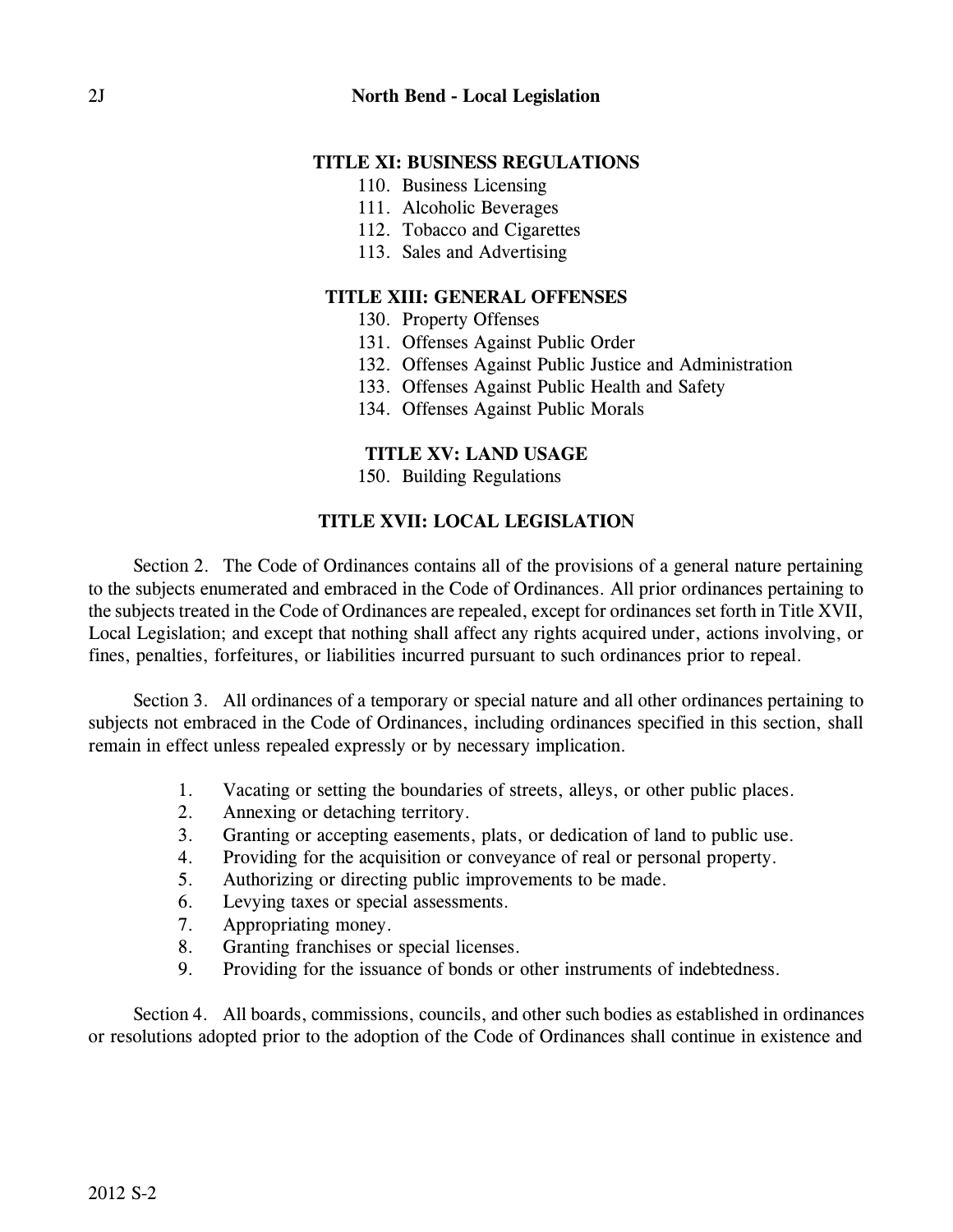- 110. Business Licensing
- 111. Alcoholic Beverages
- 112. Tobacco and Cigarettes
- 113. Sales and Advertising

# **TITLE XIII: GENERAL OFFENSES**

- 130. Property Offenses
- 131. Offenses Against Public Order
- 132. Offenses Against Public Justice and Administration
- 133. Offenses Against Public Health and Safety
- 134. Offenses Against Public Morals

# **TITLE XV: LAND USAGE**

150. Building Regulations

# **TITLE XVII: LOCAL LEGISLATION**

Section 2. The Code of Ordinances contains all of the provisions of a general nature pertaining to the subjects enumerated and embraced in the Code of Ordinances. All prior ordinances pertaining to the subjects treated in the Code of Ordinances are repealed, except for ordinances set forth in Title XVII, Local Legislation; and except that nothing shall affect any rights acquired under, actions involving, or fines, penalties, forfeitures, or liabilities incurred pursuant to such ordinances prior to repeal.

Section 3. All ordinances of a temporary or special nature and all other ordinances pertaining to subjects not embraced in the Code of Ordinances, including ordinances specified in this section, shall remain in effect unless repealed expressly or by necessary implication.

- 1. Vacating or setting the boundaries of streets, alleys, or other public places.
- 2. Annexing or detaching territory.
- 3. Granting or accepting easements, plats, or dedication of land to public use.
- 4. Providing for the acquisition or conveyance of real or personal property.
- 5. Authorizing or directing public improvements to be made.
- 6. Levying taxes or special assessments.
- 7. Appropriating money.
- 8. Granting franchises or special licenses.
- 9. Providing for the issuance of bonds or other instruments of indebtedness.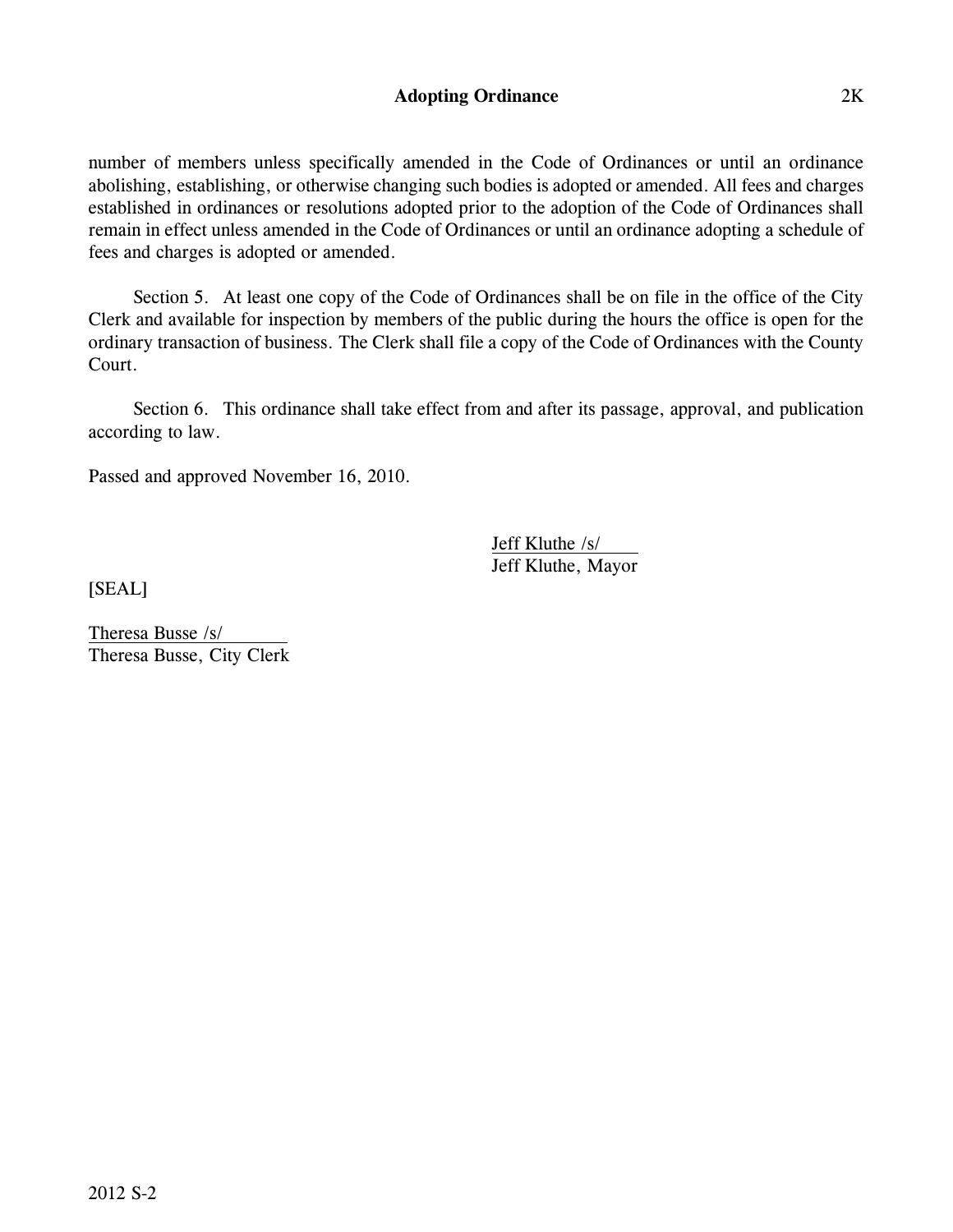### **Adopting Ordinance** 2K

number of members unless specifically amended in the Code of Ordinances or until an ordinance abolishing, establishing, or otherwise changing such bodies is adopted or amended. All fees and charges established in ordinances or resolutions adopted prior to the adoption of the Code of Ordinances shall remain in effect unless amended in the Code of Ordinances or until an ordinance adopting a schedule of fees and charges is adopted or amended.

Section 5. At least one copy of the Code of Ordinances shall be on file in the office of the City Clerk and available for inspection by members of the public during the hours the office is open for the ordinary transaction of business. The Clerk shall file a copy of the Code of Ordinances with the County Court.

Section 6. This ordinance shall take effect from and after its passage, approval, and publication according to law.

Passed and approved November 16, 2010.

Jeff Kluthe /s/ Jeff Kluthe, Mayor

[SEAL]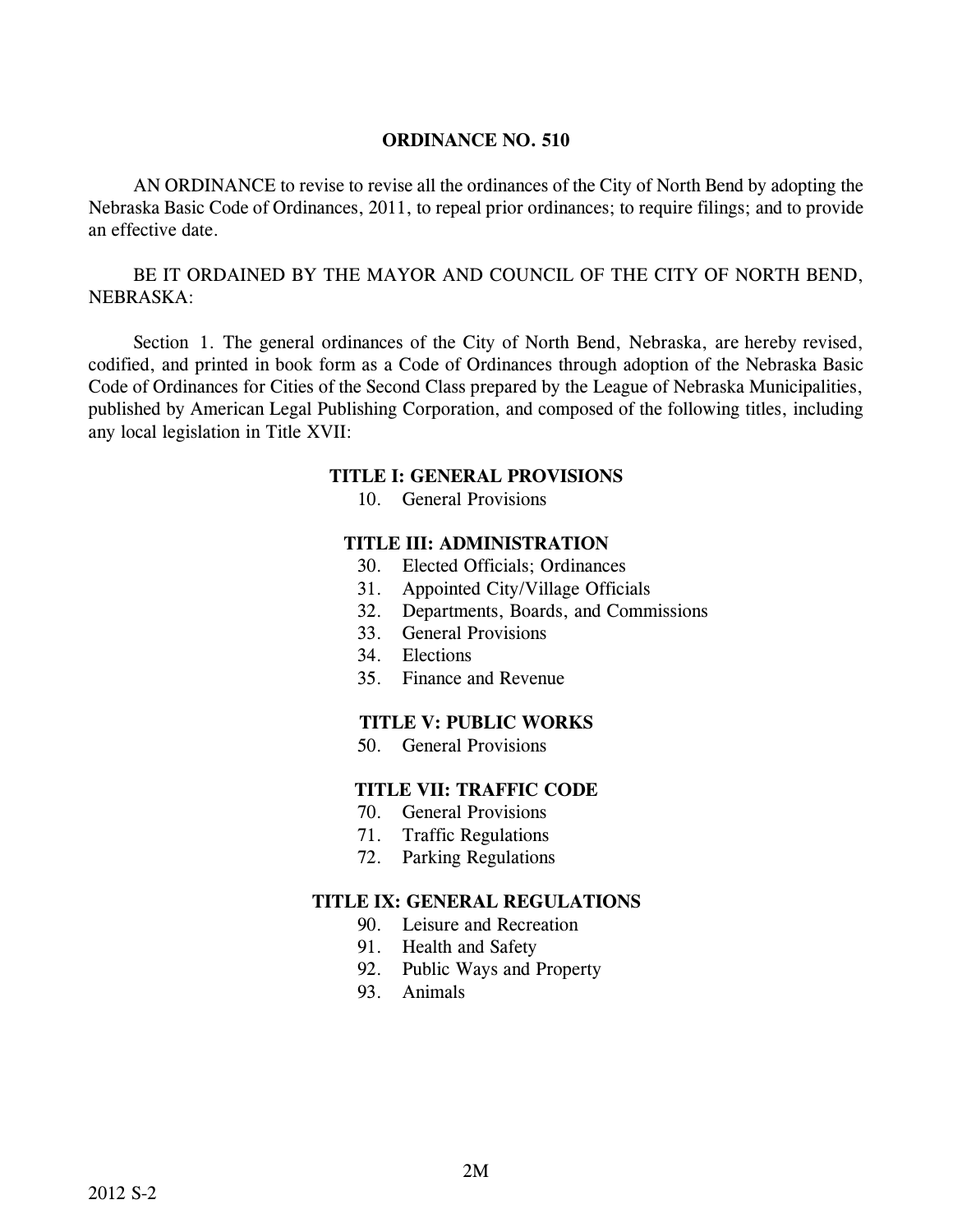AN ORDINANCE to revise to revise all the ordinances of the City of North Bend by adopting the Nebraska Basic Code of Ordinances, 2011, to repeal prior ordinances; to require filings; and to provide an effective date.

BE IT ORDAINED BY THE MAYOR AND COUNCIL OF THE CITY OF NORTH BEND, NEBRASKA:

Section 1. The general ordinances of the City of North Bend, Nebraska, are hereby revised, codified, and printed in book form as a Code of Ordinances through adoption of the Nebraska Basic Code of Ordinances for Cities of the Second Class prepared by the League of Nebraska Municipalities, published by American Legal Publishing Corporation, and composed of the following titles, including any local legislation in Title XVII:

#### **TITLE I: GENERAL PROVISIONS**

10. General Provisions

#### **TITLE III: ADMINISTRATION**

- 30. Elected Officials; Ordinances
- 31. Appointed City/Village Officials
- 32. Departments, Boards, and Commissions
- 33. General Provisions
- 34. Elections
- 35. Finance and Revenue

#### **TITLE V: PUBLIC WORKS**

50. General Provisions

### **TITLE VII: TRAFFIC CODE**

- 70. General Provisions
- 71. Traffic Regulations
- 72. Parking Regulations

- 90. Leisure and Recreation
- 91. Health and Safety
- 92. Public Ways and Property
- 93. Animals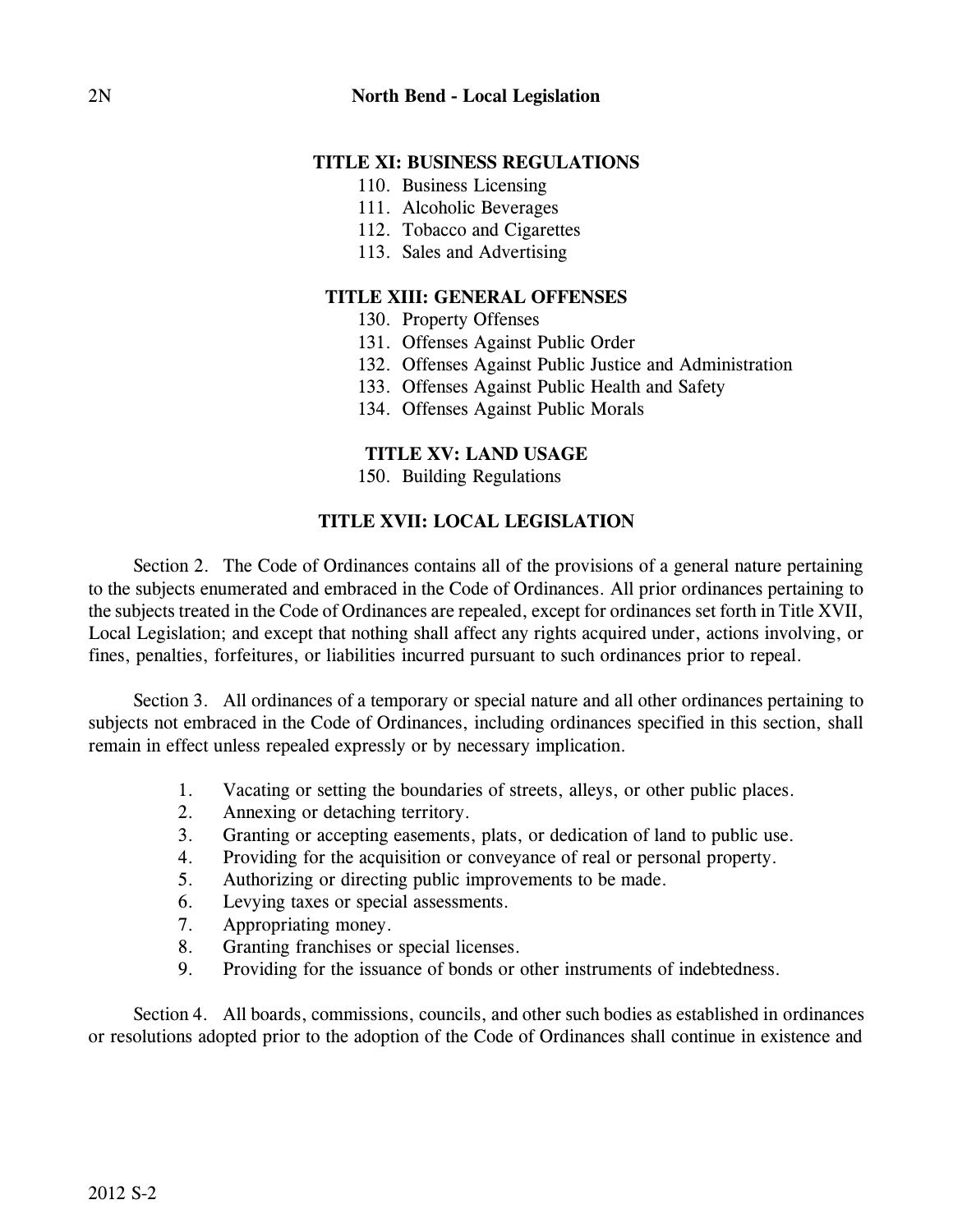- 110. Business Licensing
- 111. Alcoholic Beverages
- 112. Tobacco and Cigarettes
- 113. Sales and Advertising

# **TITLE XIII: GENERAL OFFENSES**

- 130. Property Offenses
- 131. Offenses Against Public Order
- 132. Offenses Against Public Justice and Administration
- 133. Offenses Against Public Health and Safety
- 134. Offenses Against Public Morals

# **TITLE XV: LAND USAGE**

150. Building Regulations

# **TITLE XVII: LOCAL LEGISLATION**

Section 2. The Code of Ordinances contains all of the provisions of a general nature pertaining to the subjects enumerated and embraced in the Code of Ordinances. All prior ordinances pertaining to the subjects treated in the Code of Ordinances are repealed, except for ordinances set forth in Title XVII, Local Legislation; and except that nothing shall affect any rights acquired under, actions involving, or fines, penalties, forfeitures, or liabilities incurred pursuant to such ordinances prior to repeal.

Section 3. All ordinances of a temporary or special nature and all other ordinances pertaining to subjects not embraced in the Code of Ordinances, including ordinances specified in this section, shall remain in effect unless repealed expressly or by necessary implication.

- 1. Vacating or setting the boundaries of streets, alleys, or other public places.
- 2. Annexing or detaching territory.
- 3. Granting or accepting easements, plats, or dedication of land to public use.
- 4. Providing for the acquisition or conveyance of real or personal property.
- 5. Authorizing or directing public improvements to be made.
- 6. Levying taxes or special assessments.
- 7. Appropriating money.
- 8. Granting franchises or special licenses.
- 9. Providing for the issuance of bonds or other instruments of indebtedness.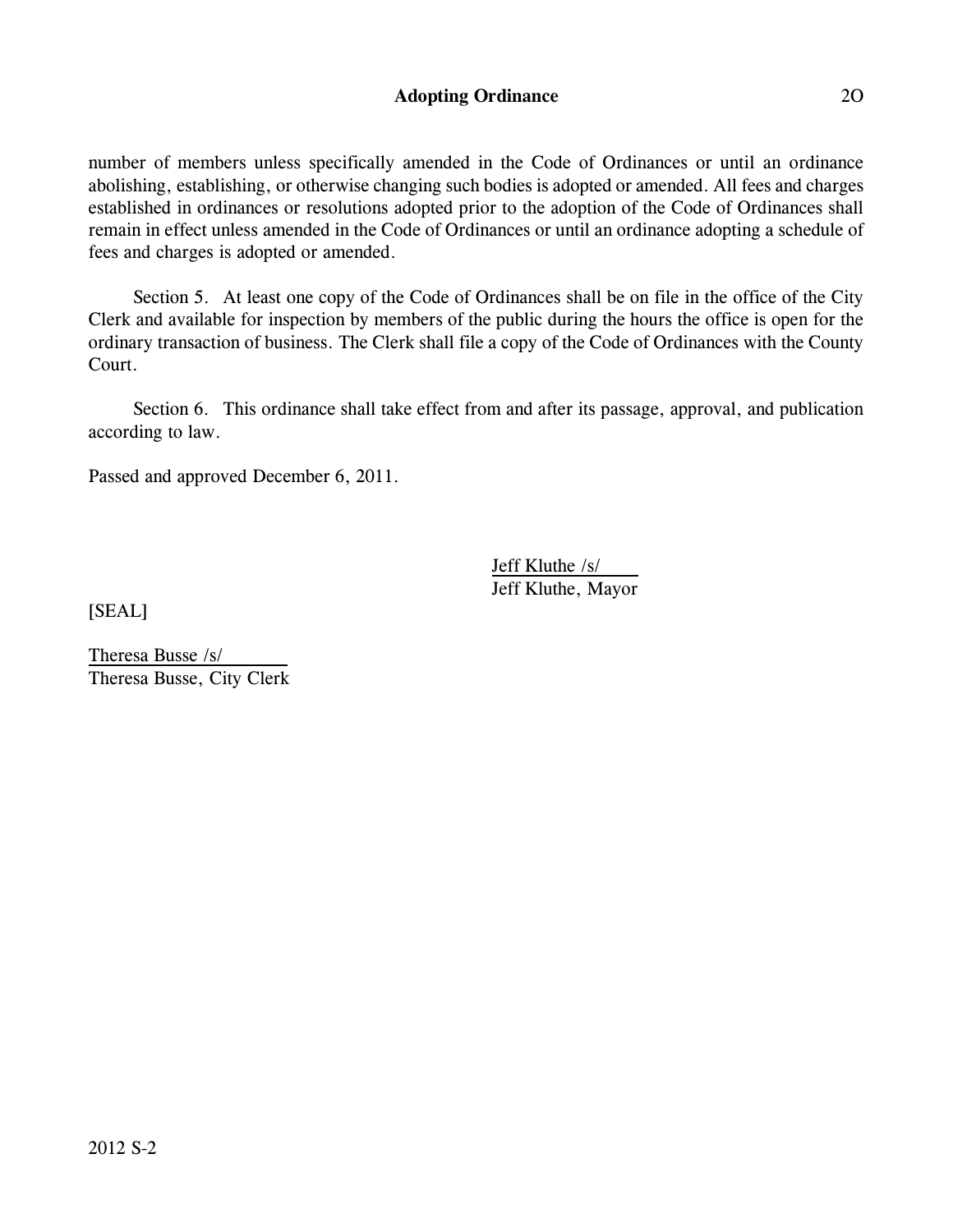### **Adopting Ordinance** 2O

number of members unless specifically amended in the Code of Ordinances or until an ordinance abolishing, establishing, or otherwise changing such bodies is adopted or amended. All fees and charges established in ordinances or resolutions adopted prior to the adoption of the Code of Ordinances shall remain in effect unless amended in the Code of Ordinances or until an ordinance adopting a schedule of fees and charges is adopted or amended.

Section 5. At least one copy of the Code of Ordinances shall be on file in the office of the City Clerk and available for inspection by members of the public during the hours the office is open for the ordinary transaction of business. The Clerk shall file a copy of the Code of Ordinances with the County Court.

Section 6. This ordinance shall take effect from and after its passage, approval, and publication according to law.

Passed and approved December 6, 2011.

Jeff Kluthe /s/ Jeff Kluthe, Mayor

[SEAL]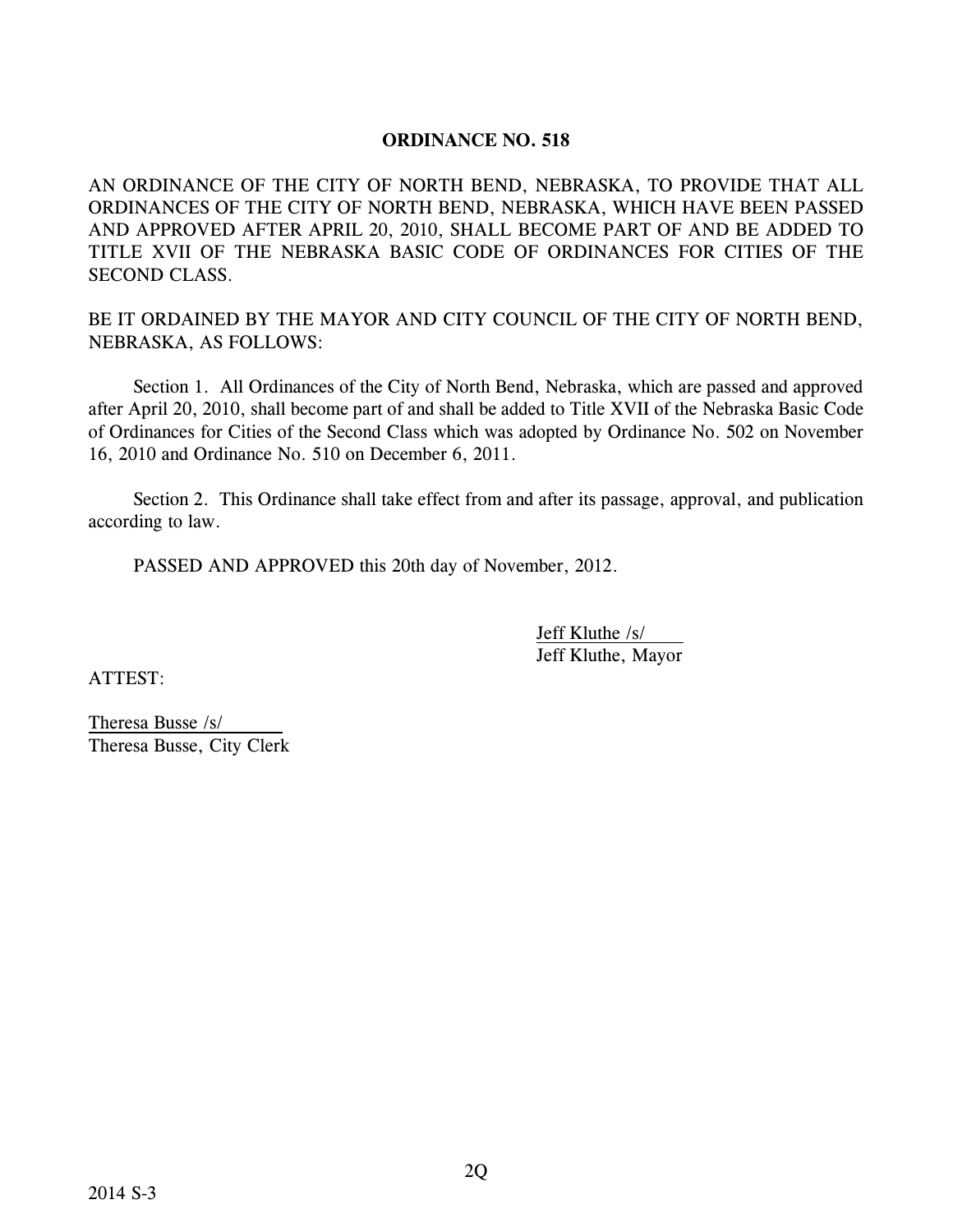AN ORDINANCE OF THE CITY OF NORTH BEND, NEBRASKA, TO PROVIDE THAT ALL ORDINANCES OF THE CITY OF NORTH BEND, NEBRASKA, WHICH HAVE BEEN PASSED AND APPROVED AFTER APRIL 20, 2010, SHALL BECOME PART OF AND BE ADDED TO TITLE XVII OF THE NEBRASKA BASIC CODE OF ORDINANCES FOR CITIES OF THE SECOND CLASS.

BE IT ORDAINED BY THE MAYOR AND CITY COUNCIL OF THE CITY OF NORTH BEND, NEBRASKA, AS FOLLOWS:

Section 1. All Ordinances of the City of North Bend, Nebraska, which are passed and approved after April 20, 2010, shall become part of and shall be added to Title XVII of the Nebraska Basic Code of Ordinances for Cities of the Second Class which was adopted by Ordinance No. 502 on November 16, 2010 and Ordinance No. 510 on December 6, 2011.

Section 2. This Ordinance shall take effect from and after its passage, approval, and publication according to law.

PASSED AND APPROVED this 20th day of November, 2012.

Jeff Kluthe /s/ Jeff Kluthe, Mayor

ATTEST: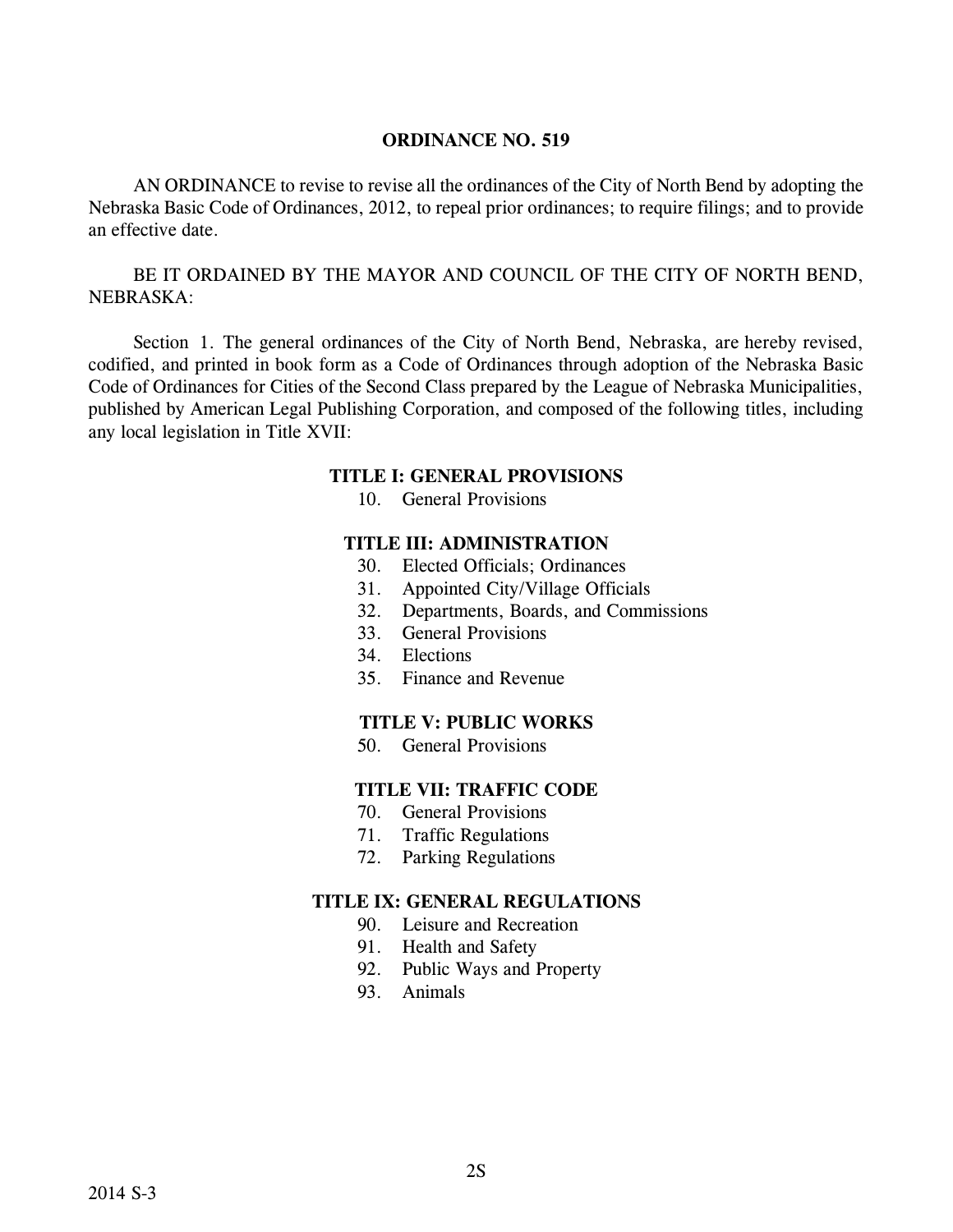AN ORDINANCE to revise to revise all the ordinances of the City of North Bend by adopting the Nebraska Basic Code of Ordinances, 2012, to repeal prior ordinances; to require filings; and to provide an effective date.

BE IT ORDAINED BY THE MAYOR AND COUNCIL OF THE CITY OF NORTH BEND, NEBRASKA:

Section 1. The general ordinances of the City of North Bend, Nebraska, are hereby revised, codified, and printed in book form as a Code of Ordinances through adoption of the Nebraska Basic Code of Ordinances for Cities of the Second Class prepared by the League of Nebraska Municipalities, published by American Legal Publishing Corporation, and composed of the following titles, including any local legislation in Title XVII:

#### **TITLE I: GENERAL PROVISIONS**

10. General Provisions

#### **TITLE III: ADMINISTRATION**

- 30. Elected Officials; Ordinances
- 31. Appointed City/Village Officials
- 32. Departments, Boards, and Commissions
- 33. General Provisions
- 34. Elections
- 35. Finance and Revenue

#### **TITLE V: PUBLIC WORKS**

50. General Provisions

### **TITLE VII: TRAFFIC CODE**

- 70. General Provisions
- 71. Traffic Regulations
- 72. Parking Regulations

- 90. Leisure and Recreation
- 91. Health and Safety
- 92. Public Ways and Property
- 93. Animals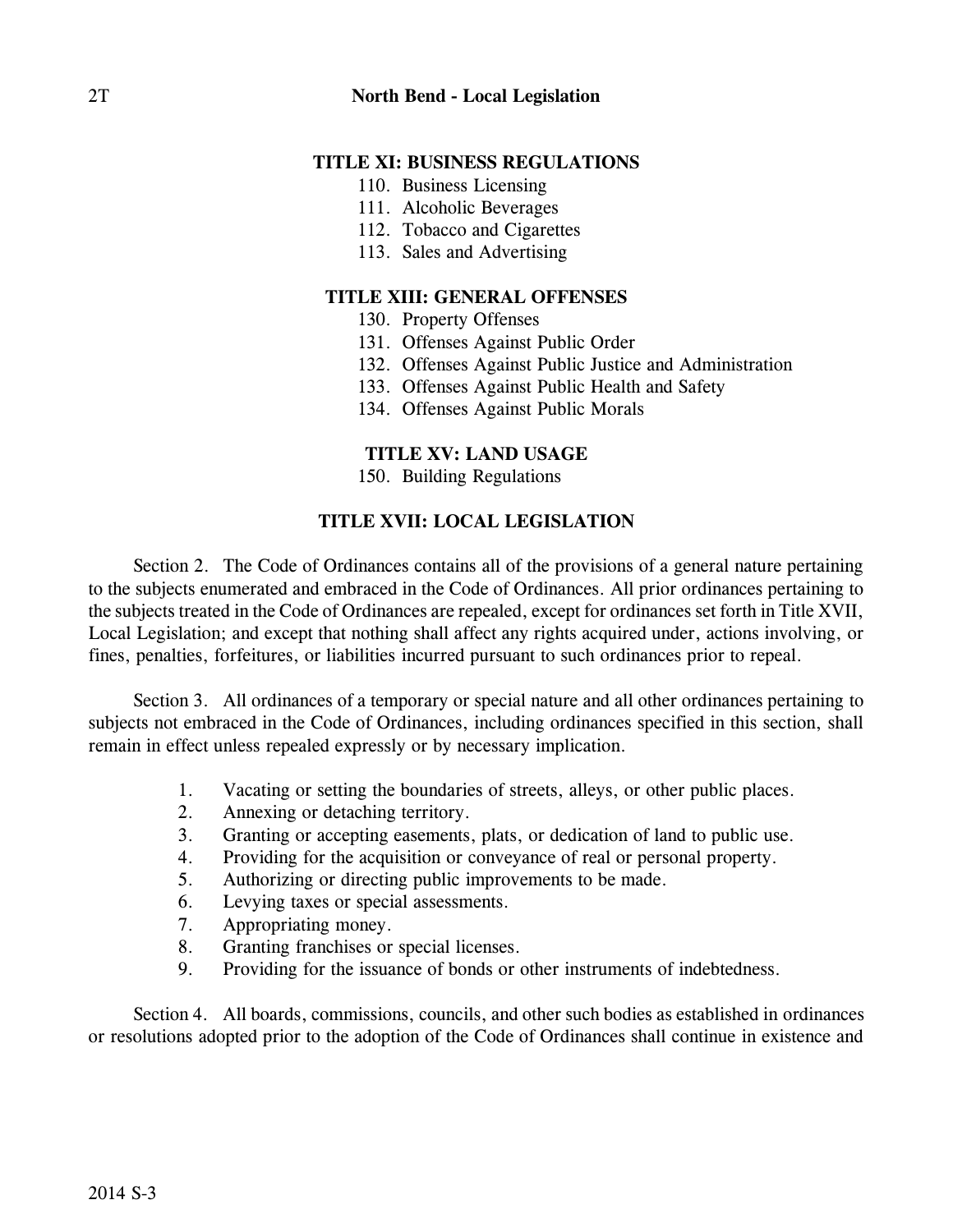- 110. Business Licensing
- 111. Alcoholic Beverages
- 112. Tobacco and Cigarettes
- 113. Sales and Advertising

# **TITLE XIII: GENERAL OFFENSES**

- 130. Property Offenses
- 131. Offenses Against Public Order
- 132. Offenses Against Public Justice and Administration
- 133. Offenses Against Public Health and Safety
- 134. Offenses Against Public Morals

# **TITLE XV: LAND USAGE**

150. Building Regulations

# **TITLE XVII: LOCAL LEGISLATION**

Section 2. The Code of Ordinances contains all of the provisions of a general nature pertaining to the subjects enumerated and embraced in the Code of Ordinances. All prior ordinances pertaining to the subjects treated in the Code of Ordinances are repealed, except for ordinances set forth in Title XVII, Local Legislation; and except that nothing shall affect any rights acquired under, actions involving, or fines, penalties, forfeitures, or liabilities incurred pursuant to such ordinances prior to repeal.

Section 3. All ordinances of a temporary or special nature and all other ordinances pertaining to subjects not embraced in the Code of Ordinances, including ordinances specified in this section, shall remain in effect unless repealed expressly or by necessary implication.

- 1. Vacating or setting the boundaries of streets, alleys, or other public places.
- 2. Annexing or detaching territory.
- 3. Granting or accepting easements, plats, or dedication of land to public use.
- 4. Providing for the acquisition or conveyance of real or personal property.
- 5. Authorizing or directing public improvements to be made.
- 6. Levying taxes or special assessments.
- 7. Appropriating money.
- 8. Granting franchises or special licenses.
- 9. Providing for the issuance of bonds or other instruments of indebtedness.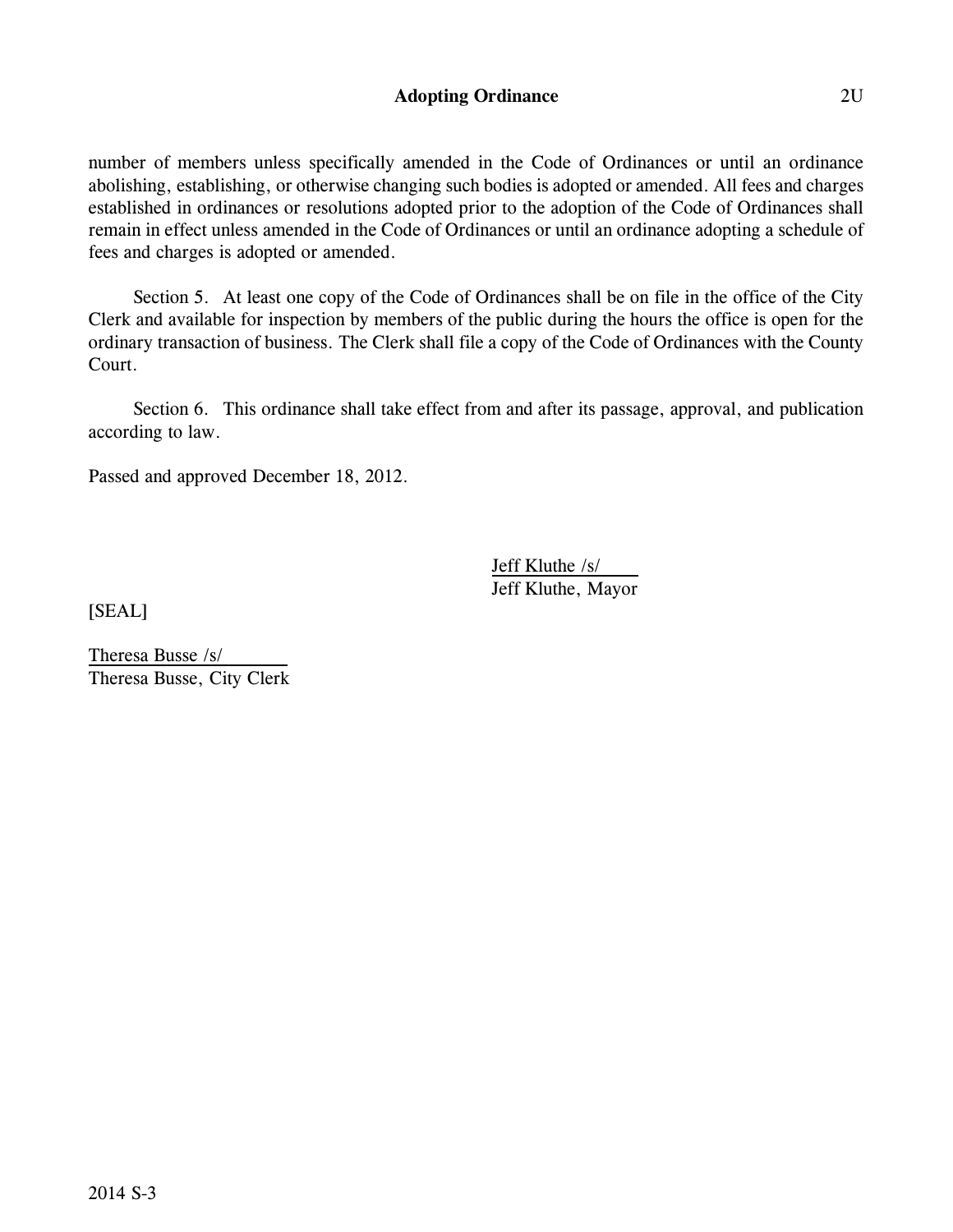### **Adopting Ordinance** 2U

number of members unless specifically amended in the Code of Ordinances or until an ordinance abolishing, establishing, or otherwise changing such bodies is adopted or amended. All fees and charges established in ordinances or resolutions adopted prior to the adoption of the Code of Ordinances shall remain in effect unless amended in the Code of Ordinances or until an ordinance adopting a schedule of fees and charges is adopted or amended.

Section 5. At least one copy of the Code of Ordinances shall be on file in the office of the City Clerk and available for inspection by members of the public during the hours the office is open for the ordinary transaction of business. The Clerk shall file a copy of the Code of Ordinances with the County Court.

Section 6. This ordinance shall take effect from and after its passage, approval, and publication according to law.

Passed and approved December 18, 2012.

Jeff Kluthe /s/ Jeff Kluthe, Mayor

[SEAL]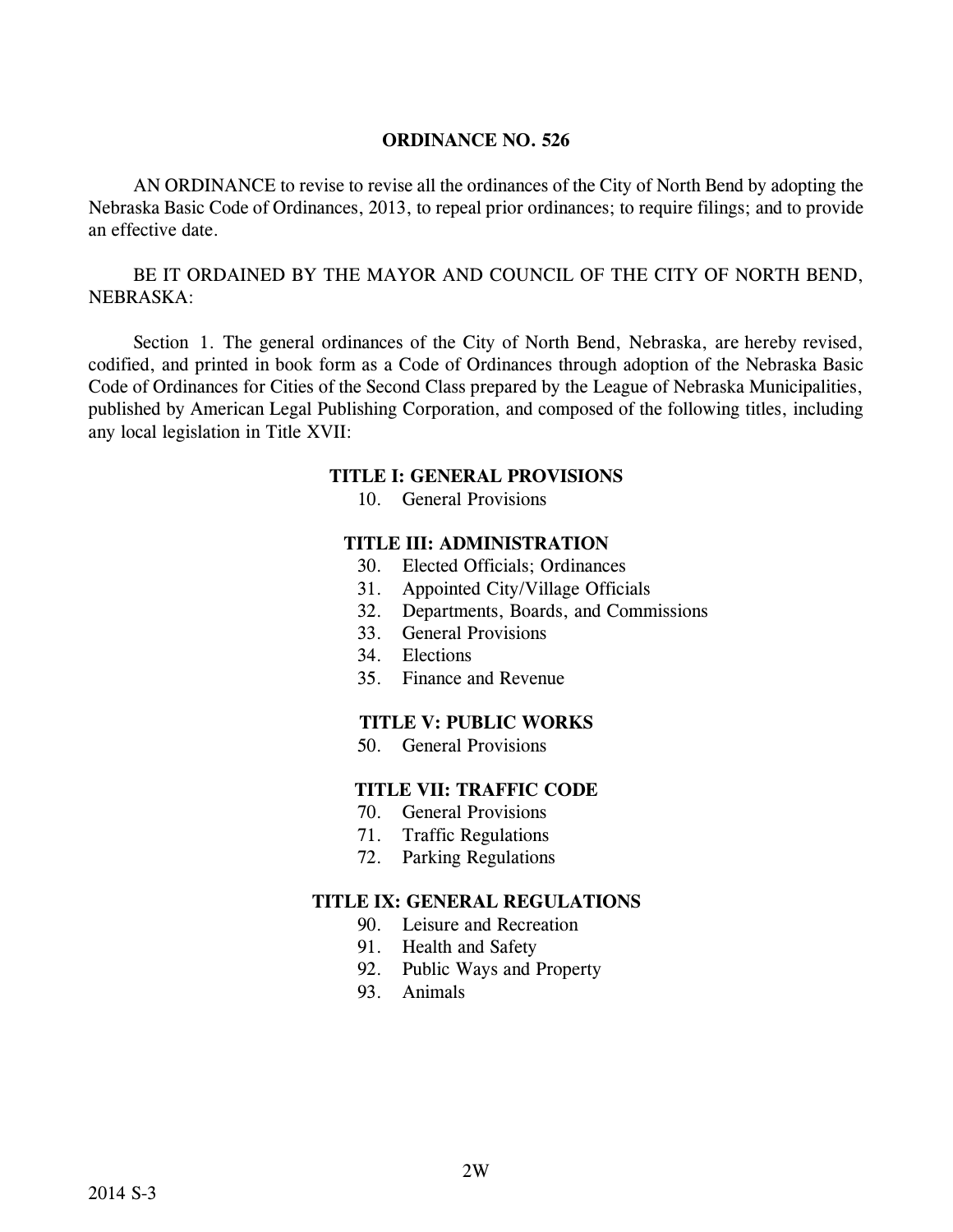AN ORDINANCE to revise to revise all the ordinances of the City of North Bend by adopting the Nebraska Basic Code of Ordinances, 2013, to repeal prior ordinances; to require filings; and to provide an effective date.

BE IT ORDAINED BY THE MAYOR AND COUNCIL OF THE CITY OF NORTH BEND, NEBRASKA:

Section 1. The general ordinances of the City of North Bend, Nebraska, are hereby revised, codified, and printed in book form as a Code of Ordinances through adoption of the Nebraska Basic Code of Ordinances for Cities of the Second Class prepared by the League of Nebraska Municipalities, published by American Legal Publishing Corporation, and composed of the following titles, including any local legislation in Title XVII:

#### **TITLE I: GENERAL PROVISIONS**

10. General Provisions

### **TITLE III: ADMINISTRATION**

- 30. Elected Officials; Ordinances
- 31. Appointed City/Village Officials
- 32. Departments, Boards, and Commissions
- 33. General Provisions
- 34. Elections
- 35. Finance and Revenue

# **TITLE V: PUBLIC WORKS**

50. General Provisions

# **TITLE VII: TRAFFIC CODE**

- 70. General Provisions
- 71. Traffic Regulations
- 72. Parking Regulations

- 90. Leisure and Recreation
- 91. Health and Safety
- 92. Public Ways and Property
- 93. Animals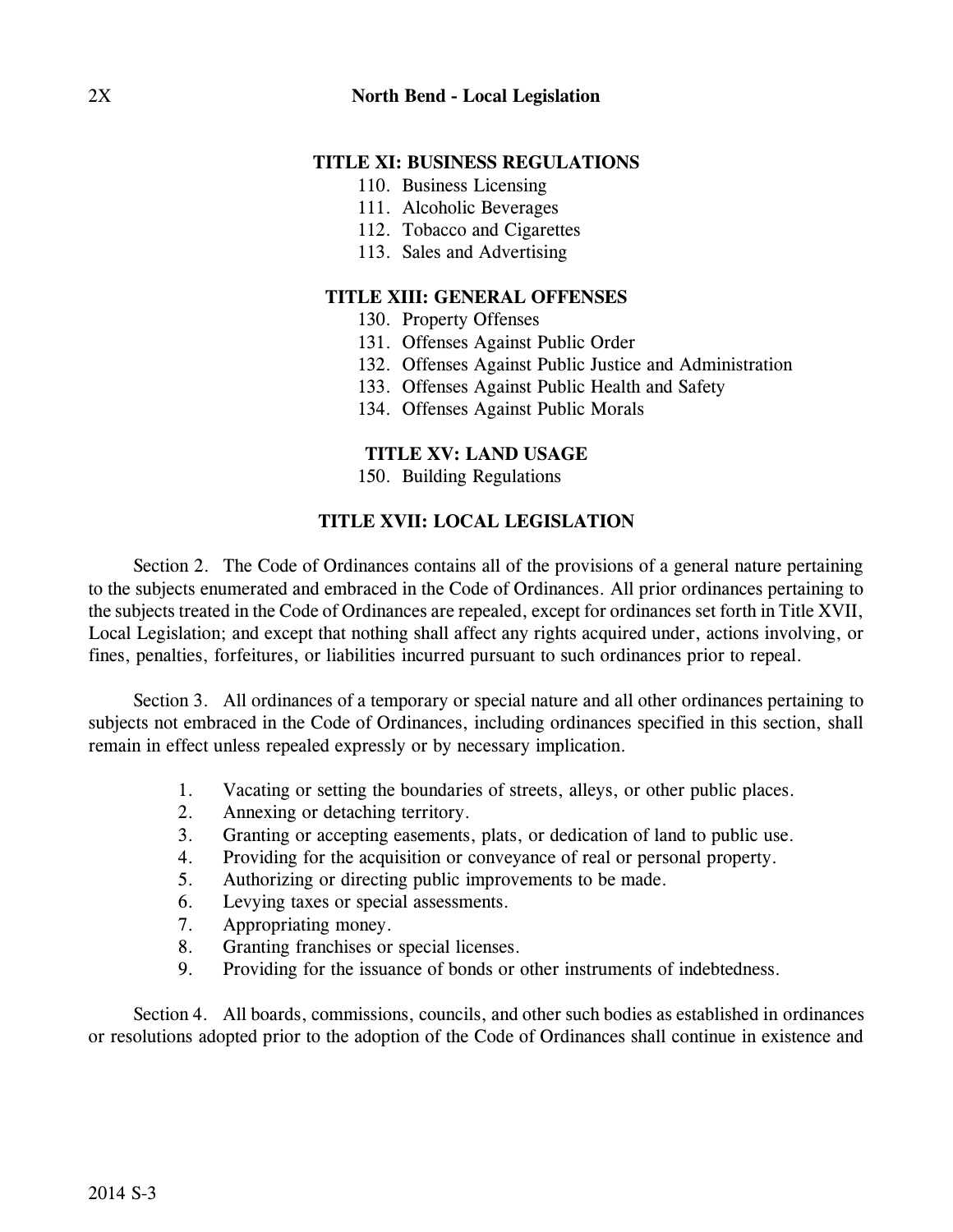- 110. Business Licensing
- 111. Alcoholic Beverages
- 112. Tobacco and Cigarettes
- 113. Sales and Advertising

## **TITLE XIII: GENERAL OFFENSES**

- 130. Property Offenses
- 131. Offenses Against Public Order
- 132. Offenses Against Public Justice and Administration
- 133. Offenses Against Public Health and Safety
- 134. Offenses Against Public Morals

# **TITLE XV: LAND USAGE**

150. Building Regulations

# **TITLE XVII: LOCAL LEGISLATION**

Section 2. The Code of Ordinances contains all of the provisions of a general nature pertaining to the subjects enumerated and embraced in the Code of Ordinances. All prior ordinances pertaining to the subjects treated in the Code of Ordinances are repealed, except for ordinances set forth in Title XVII, Local Legislation; and except that nothing shall affect any rights acquired under, actions involving, or fines, penalties, forfeitures, or liabilities incurred pursuant to such ordinances prior to repeal.

Section 3. All ordinances of a temporary or special nature and all other ordinances pertaining to subjects not embraced in the Code of Ordinances, including ordinances specified in this section, shall remain in effect unless repealed expressly or by necessary implication.

- 1. Vacating or setting the boundaries of streets, alleys, or other public places.
- 2. Annexing or detaching territory.
- 3. Granting or accepting easements, plats, or dedication of land to public use.
- 4. Providing for the acquisition or conveyance of real or personal property.
- 5. Authorizing or directing public improvements to be made.
- 6. Levying taxes or special assessments.
- 7. Appropriating money.
- 8. Granting franchises or special licenses.
- 9. Providing for the issuance of bonds or other instruments of indebtedness.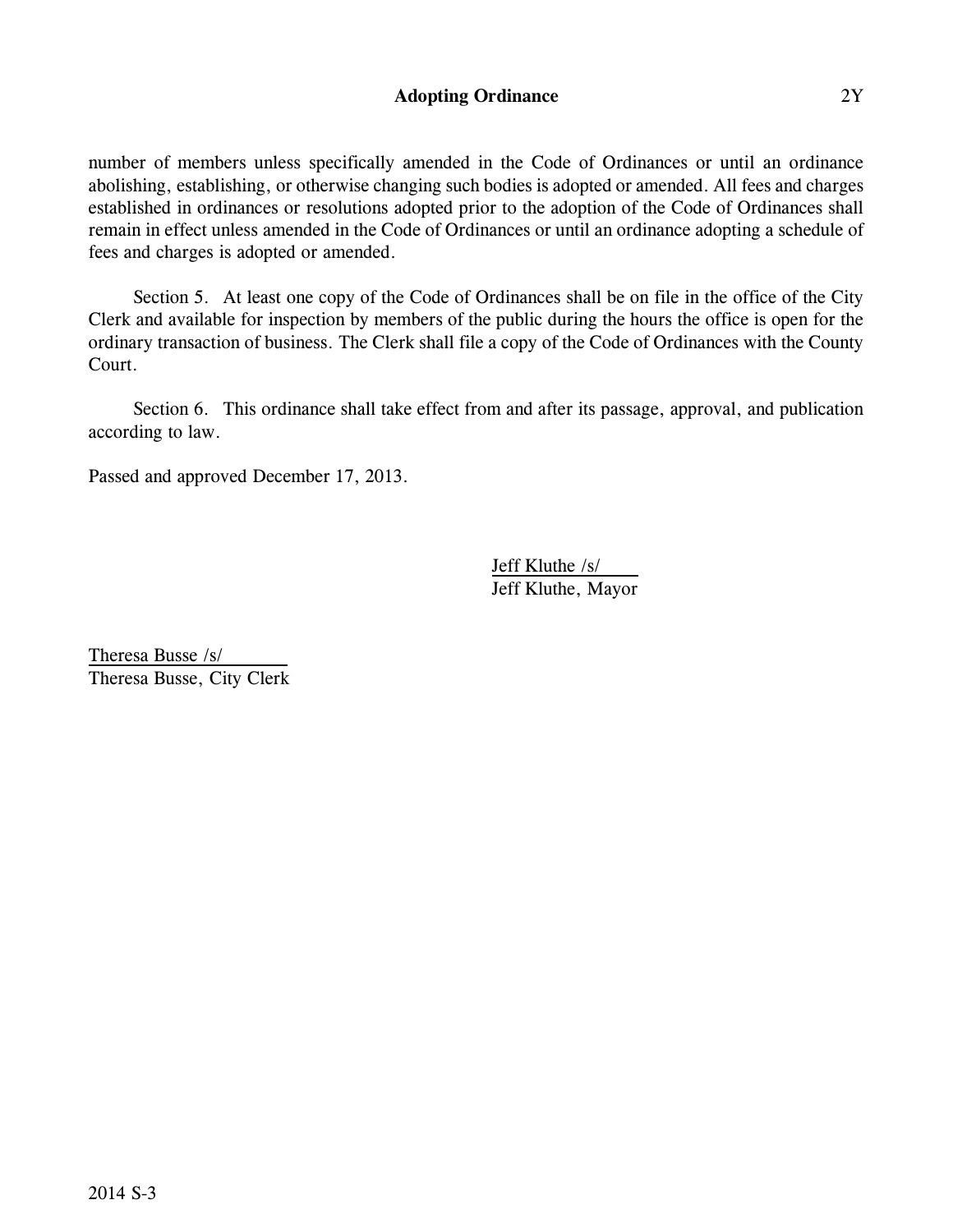### **Adopting Ordinance** 2Y

number of members unless specifically amended in the Code of Ordinances or until an ordinance abolishing, establishing, or otherwise changing such bodies is adopted or amended. All fees and charges established in ordinances or resolutions adopted prior to the adoption of the Code of Ordinances shall remain in effect unless amended in the Code of Ordinances or until an ordinance adopting a schedule of fees and charges is adopted or amended.

Section 5. At least one copy of the Code of Ordinances shall be on file in the office of the City Clerk and available for inspection by members of the public during the hours the office is open for the ordinary transaction of business. The Clerk shall file a copy of the Code of Ordinances with the County Court.

Section 6. This ordinance shall take effect from and after its passage, approval, and publication according to law.

Passed and approved December 17, 2013.

Jeff Kluthe /s/ Jeff Kluthe, Mayor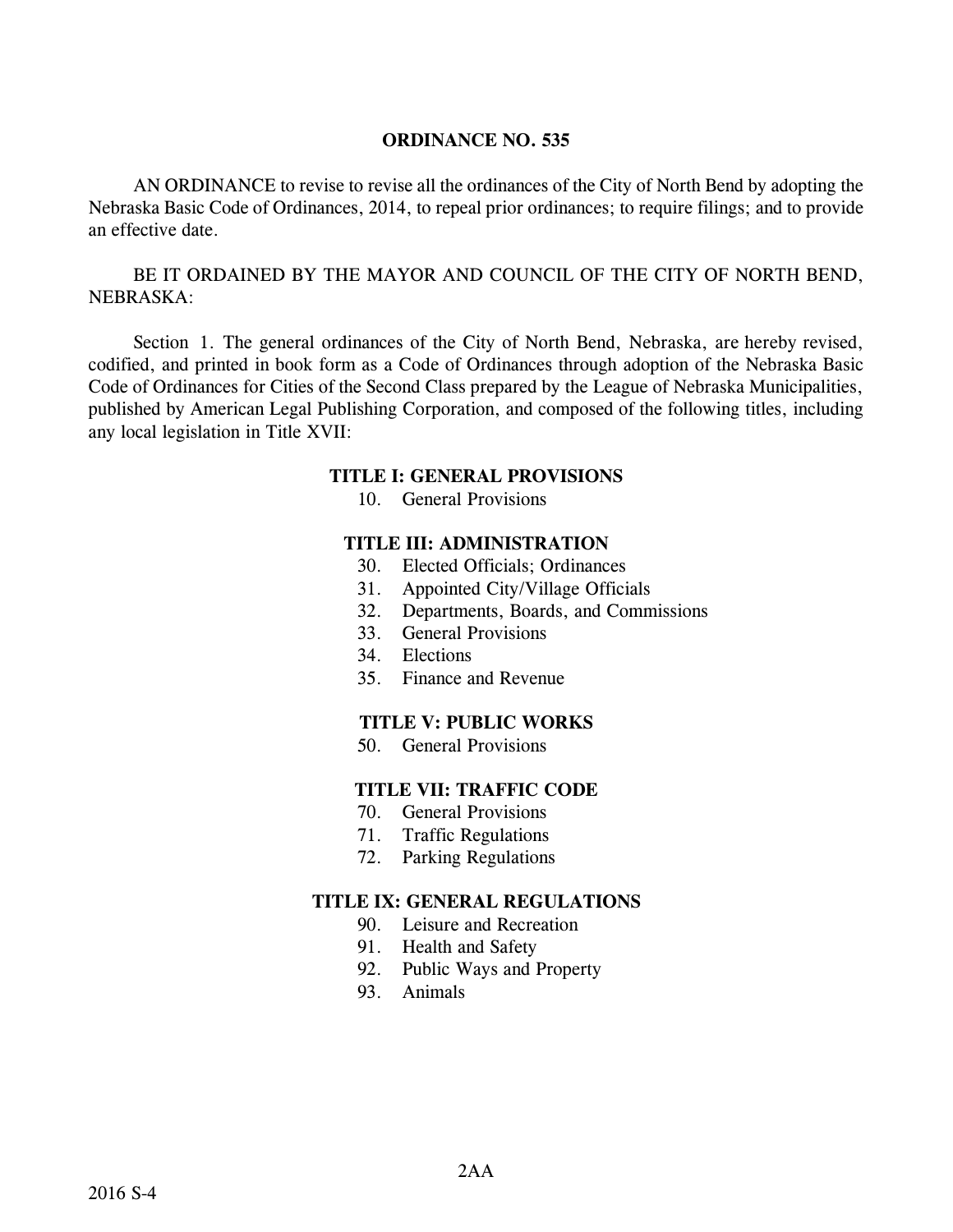AN ORDINANCE to revise to revise all the ordinances of the City of North Bend by adopting the Nebraska Basic Code of Ordinances, 2014, to repeal prior ordinances; to require filings; and to provide an effective date.

BE IT ORDAINED BY THE MAYOR AND COUNCIL OF THE CITY OF NORTH BEND, NEBRASKA:

Section 1. The general ordinances of the City of North Bend, Nebraska, are hereby revised, codified, and printed in book form as a Code of Ordinances through adoption of the Nebraska Basic Code of Ordinances for Cities of the Second Class prepared by the League of Nebraska Municipalities, published by American Legal Publishing Corporation, and composed of the following titles, including any local legislation in Title XVII:

#### **TITLE I: GENERAL PROVISIONS**

10. General Provisions

#### **TITLE III: ADMINISTRATION**

- 30. Elected Officials; Ordinances
- 31. Appointed City/Village Officials
- 32. Departments, Boards, and Commissions
- 33. General Provisions
- 34. Elections
- 35. Finance and Revenue

#### **TITLE V: PUBLIC WORKS**

50. General Provisions

### **TITLE VII: TRAFFIC CODE**

- 70. General Provisions
- 71. Traffic Regulations
- 72. Parking Regulations

- 90. Leisure and Recreation
- 91. Health and Safety
- 92. Public Ways and Property
- 93. Animals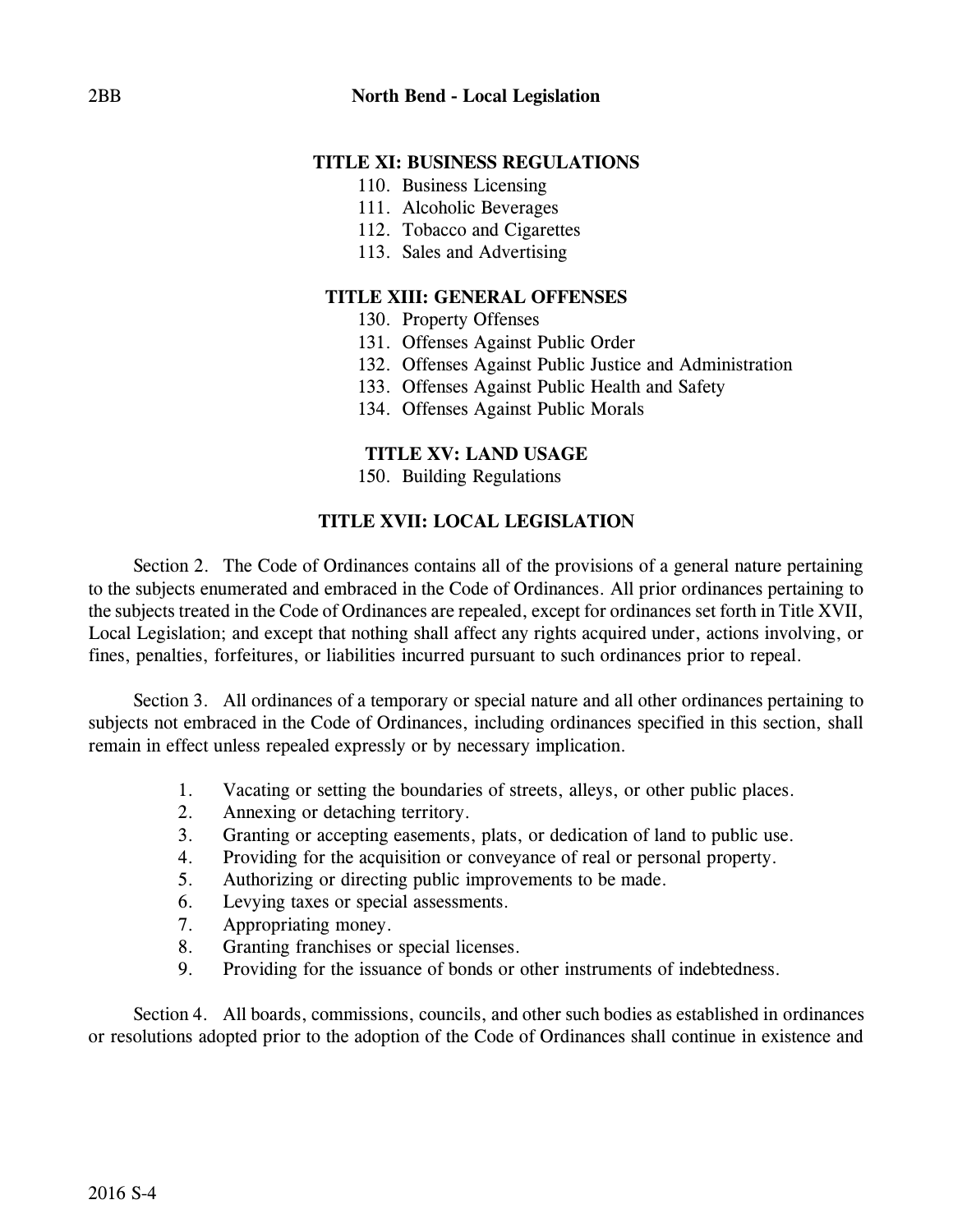- 110. Business Licensing
- 111. Alcoholic Beverages
- 112. Tobacco and Cigarettes
- 113. Sales and Advertising

# **TITLE XIII: GENERAL OFFENSES**

- 130. Property Offenses
- 131. Offenses Against Public Order
- 132. Offenses Against Public Justice and Administration
- 133. Offenses Against Public Health and Safety
- 134. Offenses Against Public Morals

# **TITLE XV: LAND USAGE**

150. Building Regulations

# **TITLE XVII: LOCAL LEGISLATION**

Section 2. The Code of Ordinances contains all of the provisions of a general nature pertaining to the subjects enumerated and embraced in the Code of Ordinances. All prior ordinances pertaining to the subjects treated in the Code of Ordinances are repealed, except for ordinances set forth in Title XVII, Local Legislation; and except that nothing shall affect any rights acquired under, actions involving, or fines, penalties, forfeitures, or liabilities incurred pursuant to such ordinances prior to repeal.

Section 3. All ordinances of a temporary or special nature and all other ordinances pertaining to subjects not embraced in the Code of Ordinances, including ordinances specified in this section, shall remain in effect unless repealed expressly or by necessary implication.

- 1. Vacating or setting the boundaries of streets, alleys, or other public places.
- 2. Annexing or detaching territory.
- 3. Granting or accepting easements, plats, or dedication of land to public use.
- 4. Providing for the acquisition or conveyance of real or personal property.
- 5. Authorizing or directing public improvements to be made.
- 6. Levying taxes or special assessments.
- 7. Appropriating money.
- 8. Granting franchises or special licenses.
- 9. Providing for the issuance of bonds or other instruments of indebtedness.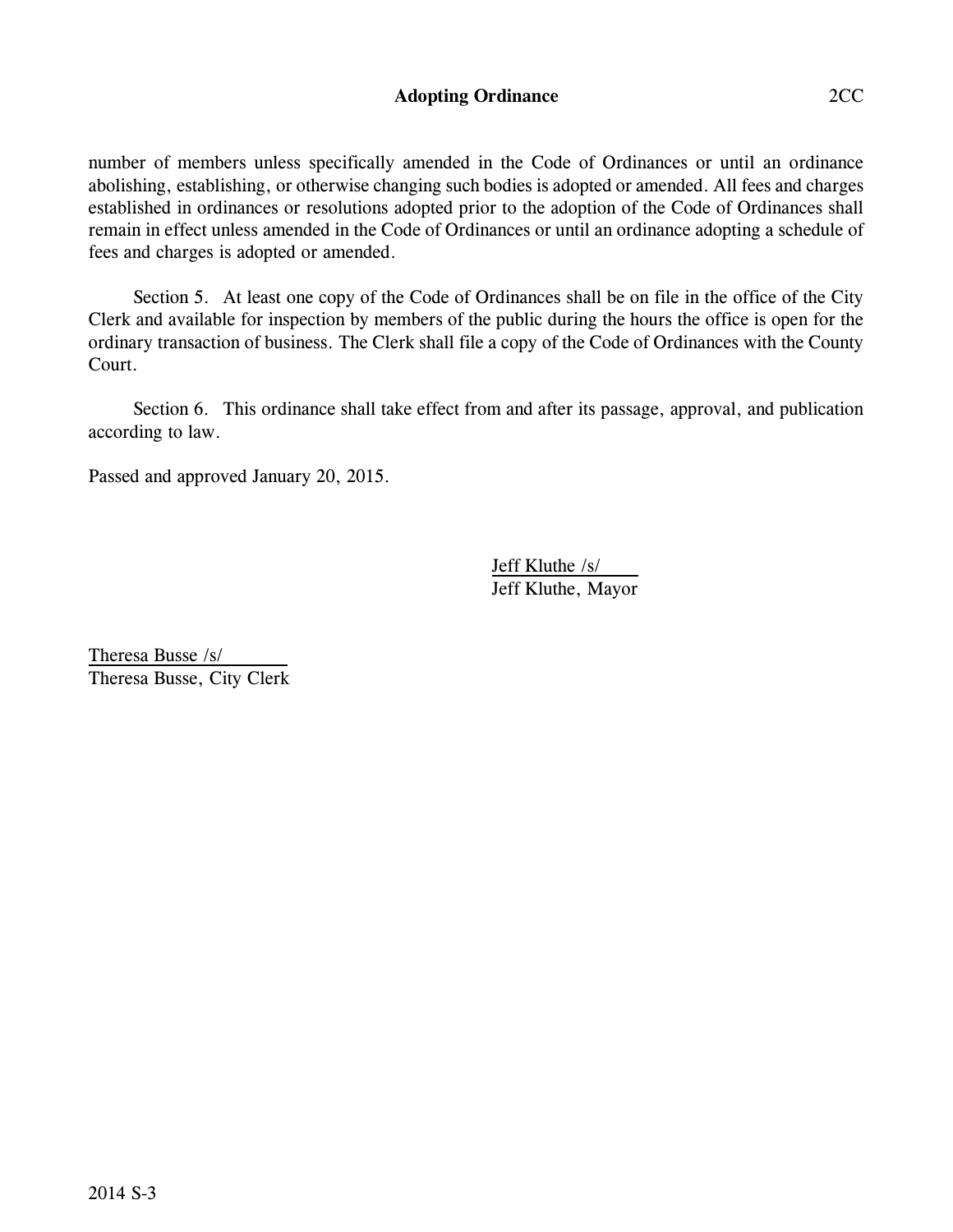### **Adopting Ordinance** 2CC

number of members unless specifically amended in the Code of Ordinances or until an ordinance abolishing, establishing, or otherwise changing such bodies is adopted or amended. All fees and charges established in ordinances or resolutions adopted prior to the adoption of the Code of Ordinances shall remain in effect unless amended in the Code of Ordinances or until an ordinance adopting a schedule of fees and charges is adopted or amended.

Section 5. At least one copy of the Code of Ordinances shall be on file in the office of the City Clerk and available for inspection by members of the public during the hours the office is open for the ordinary transaction of business. The Clerk shall file a copy of the Code of Ordinances with the County Court.

Section 6. This ordinance shall take effect from and after its passage, approval, and publication according to law.

Passed and approved January 20, 2015.

Jeff Kluthe /s/ Jeff Kluthe, Mayor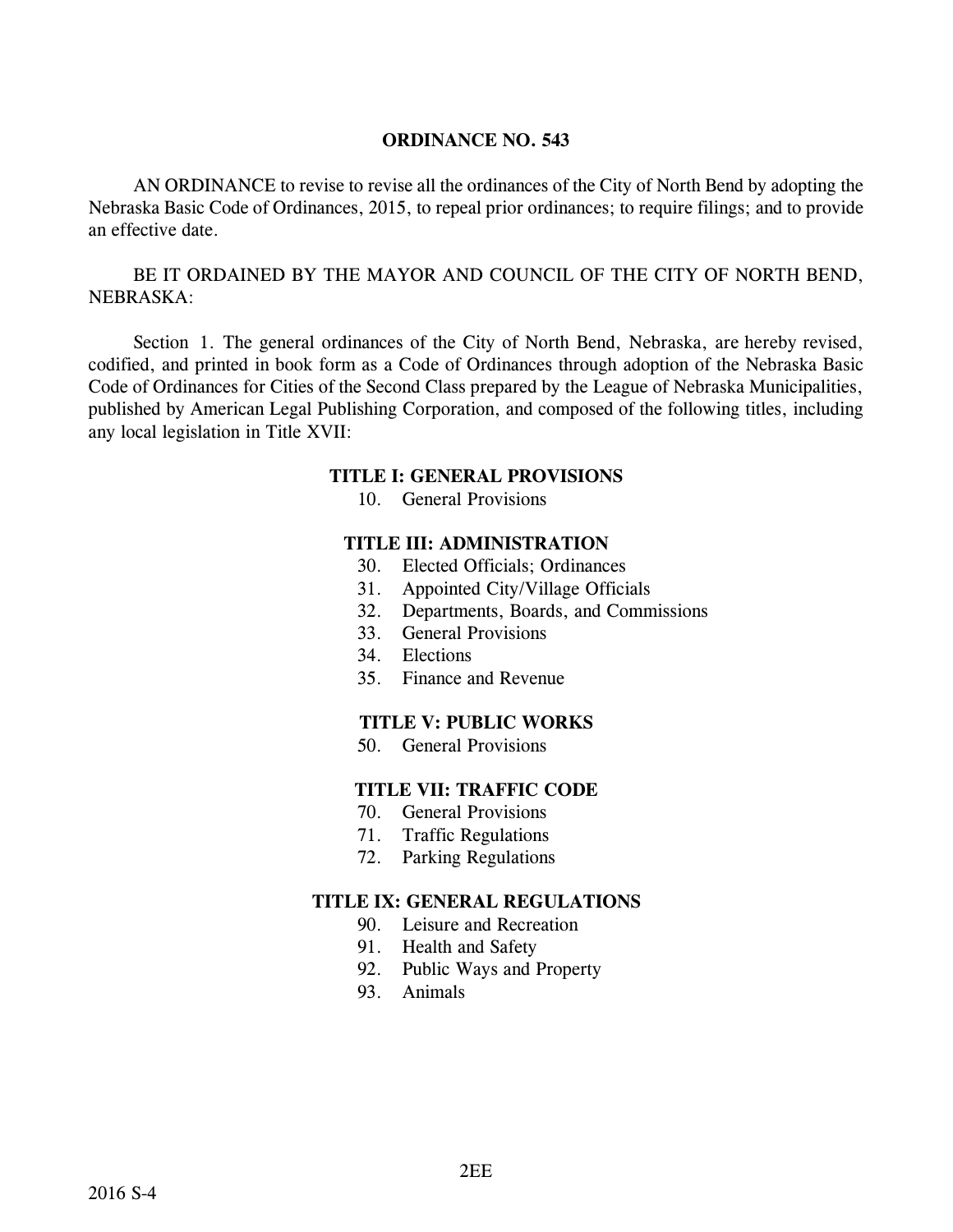AN ORDINANCE to revise to revise all the ordinances of the City of North Bend by adopting the Nebraska Basic Code of Ordinances, 2015, to repeal prior ordinances; to require filings; and to provide an effective date.

BE IT ORDAINED BY THE MAYOR AND COUNCIL OF THE CITY OF NORTH BEND, NEBRASKA:

Section 1. The general ordinances of the City of North Bend, Nebraska, are hereby revised, codified, and printed in book form as a Code of Ordinances through adoption of the Nebraska Basic Code of Ordinances for Cities of the Second Class prepared by the League of Nebraska Municipalities, published by American Legal Publishing Corporation, and composed of the following titles, including any local legislation in Title XVII:

#### **TITLE I: GENERAL PROVISIONS**

10. General Provisions

#### **TITLE III: ADMINISTRATION**

- 30. Elected Officials; Ordinances
- 31. Appointed City/Village Officials
- 32. Departments, Boards, and Commissions
- 33. General Provisions
- 34. Elections
- 35. Finance and Revenue

#### **TITLE V: PUBLIC WORKS**

50. General Provisions

### **TITLE VII: TRAFFIC CODE**

- 70. General Provisions
- 71. Traffic Regulations
- 72. Parking Regulations

- 90. Leisure and Recreation
- 91. Health and Safety
- 92. Public Ways and Property
- 93. Animals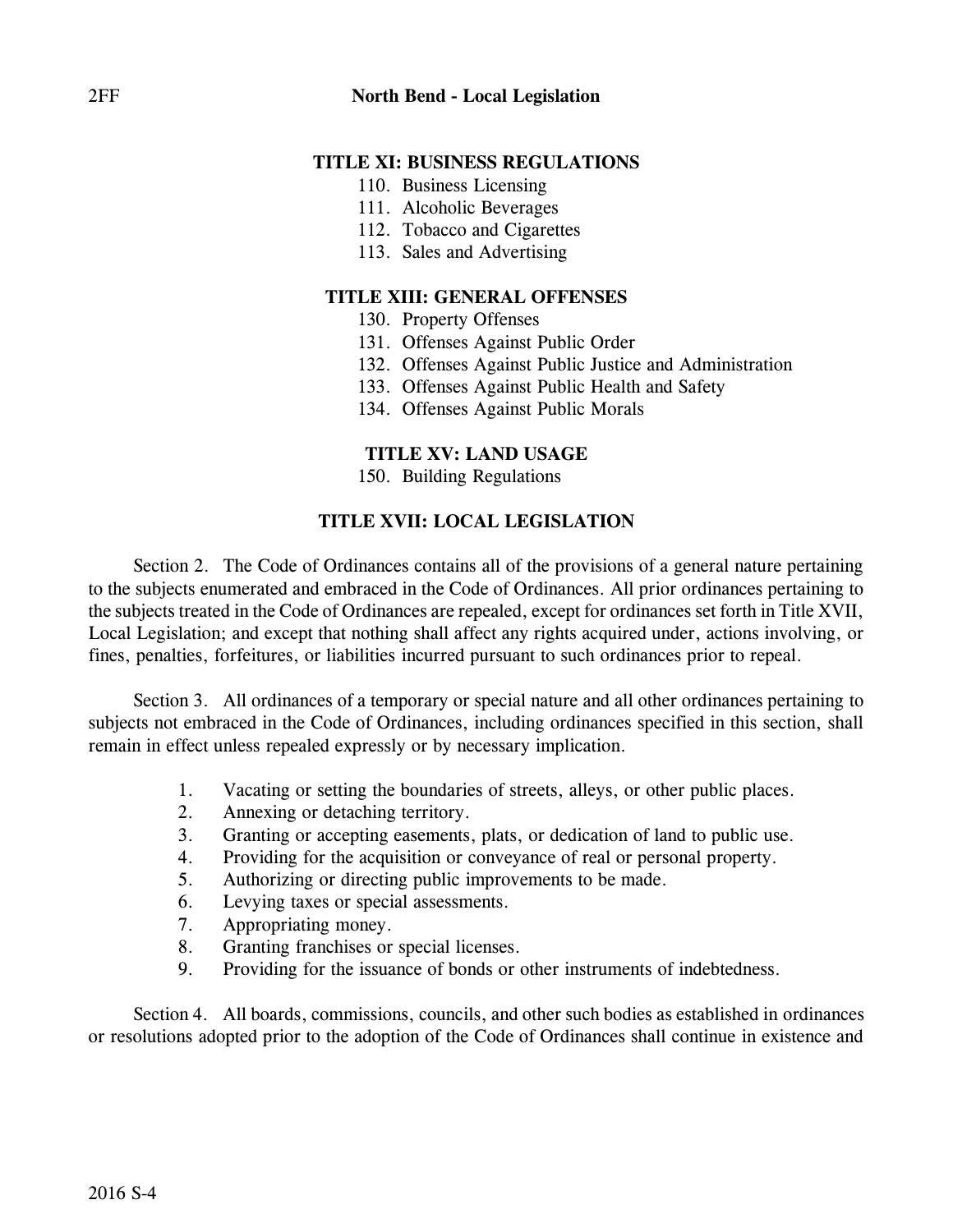- 110. Business Licensing
- 111. Alcoholic Beverages
- 112. Tobacco and Cigarettes
- 113. Sales and Advertising

# **TITLE XIII: GENERAL OFFENSES**

- 130. Property Offenses
- 131. Offenses Against Public Order
- 132. Offenses Against Public Justice and Administration
- 133. Offenses Against Public Health and Safety
- 134. Offenses Against Public Morals

# **TITLE XV: LAND USAGE**

150. Building Regulations

# **TITLE XVII: LOCAL LEGISLATION**

Section 2. The Code of Ordinances contains all of the provisions of a general nature pertaining to the subjects enumerated and embraced in the Code of Ordinances. All prior ordinances pertaining to the subjects treated in the Code of Ordinances are repealed, except for ordinances set forth in Title XVII, Local Legislation; and except that nothing shall affect any rights acquired under, actions involving, or fines, penalties, forfeitures, or liabilities incurred pursuant to such ordinances prior to repeal.

Section 3. All ordinances of a temporary or special nature and all other ordinances pertaining to subjects not embraced in the Code of Ordinances, including ordinances specified in this section, shall remain in effect unless repealed expressly or by necessary implication.

- 1. Vacating or setting the boundaries of streets, alleys, or other public places.
- 2. Annexing or detaching territory.
- 3. Granting or accepting easements, plats, or dedication of land to public use.
- 4. Providing for the acquisition or conveyance of real or personal property.
- 5. Authorizing or directing public improvements to be made.
- 6. Levying taxes or special assessments.
- 7. Appropriating money.
- 8. Granting franchises or special licenses.
- 9. Providing for the issuance of bonds or other instruments of indebtedness.